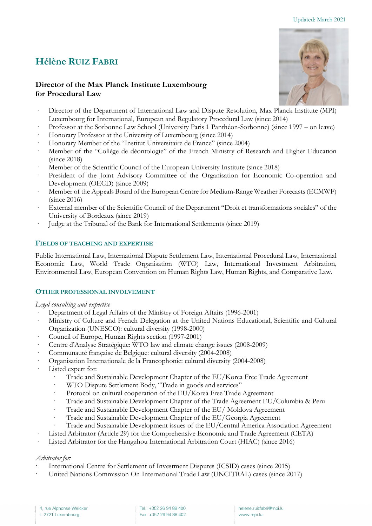# **Hélène RUIZ FABRI**

# **Director of the Max Planck Institute Luxembourg for Procedural Law**

- Director of the Department of International Law and Dispute Resolution, Max Planck Institute (MPI) Luxembourg for International, European and Regulatory Procedural Law (since 2014)
- · Professor at the Sorbonne Law School (University Paris 1 Panthéon-Sorbonne) (since 1997 on leave)
- · Honorary Professor at the University of Luxembourg (since 2014)
- · Honorary Member of the "Institut Universitaire de France" (since 2004)
- Member of the "Collège de déontologie" of the French Ministry of Research and Higher Education (since 2018)
- Member of the Scientific Council of the European University Institute (since 2018)
- President of the Joint Advisory Committee of the Organisation for Economic Co-operation and Development (OECD) (since 2009)
- · Member of the Appeals Board of the European Centre for Medium-Range Weather Forecasts (ECMWF) (since 2016)
- External member of the Scientific Council of the Department "Droit et transformations sociales" of the University of Bordeaux (since 2019)
- · Judge at the Tribunal of the Bank for International Settlements (since 2019)

# **FIELDS OF TEACHING AND EXPERTISE**

Public International Law, International Dispute Settlement Law, International Procedural Law, International Economic Law, World Trade Organisation (WTO) Law, International Investment Arbitration, Environmental Law, European Convention on Human Rights Law, Human Rights, and Comparative Law.

## **OTHER PROFESSIONAL INVOLVEMENT**

## *Legal consulting and expertise*

- Department of Legal Affairs of the Ministry of Foreign Affairs (1996-2001)
- · Ministry of Culture and French Delegation at the United Nations Educational, Scientific and Cultural Organization (UNESCO): cultural diversity (1998-2000)
- Council of Europe, Human Rights section (1997-2001)
- · Centre d'Analyse Stratégique: WTO law and climate change issues (2008-2009)
- · Communauté française de Belgique: cultural diversity (2004-2008)
- · Organisation Internationale de la Francophonie: cultural diversity (2004-2008)
- Listed expert for:
	- · Trade and Sustainable Development Chapter of the EU/Korea Free Trade Agreement
	- WTO Dispute Settlement Body, "Trade in goods and services"
	- Protocol on cultural cooperation of the EU/Korea Free Trade Agreement
	- · Trade and Sustainable Development Chapter of the Trade Agreement EU/Columbia & Peru
	- · Trade and Sustainable Development Chapter of the EU/ Moldova Agreement
	- · Trade and Sustainable Development Chapter of the EU/Georgia Agreement
	- · Trade and Sustainable Development issues of the EU/Central America Association Agreement
- Listed Arbitrator (Article 29) for the Comprehensive Economic and Trade Agreement (CETA)
- Listed Arbitrator for the Hangzhou International Arbitration Court (HIAC) (since 2016)

# *Arbitrator for:*

- International Centre for Settlement of Investment Disputes (ICSID) cases (since 2015)
- United Nations Commission On International Trade Law (UNCITRAL) cases (since 2017)



Tel.: +352 26 94 88 400 Fax: +352 26 94 88 402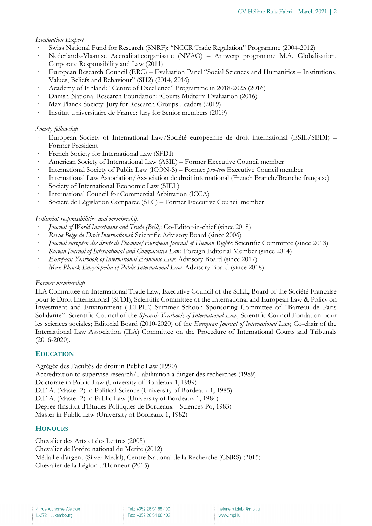# *Evaluation Expert*

- · Swiss National Fund for Research (SNRF): "NCCR Trade Regulation" Programme (2004-2012)
- · Nederlands-Vlaamse Accreditatieorganisatie (NVAO) Antwerp programme M.A. Globalisation, Corporate Responsibility and Law (2011)
- · European Research Council (ERC) Evaluation Panel "Social Sciences and Humanities Institutions, Values, Beliefs and Behaviour" (SH2) (2014, 2016)
- · Academy of Finland: "Centre of Excellence" Programme in 2018-2025 (2016)
- · Danish National Research Foundation: iCourts Midterm Evaluation (2016)
- Max Planck Society: Jury for Research Groups Leaders (2019)
- Institut Universitaire de France: Jury for Senior members (2019)

## *Society fellowship*

- · European Society of International Law/Société européenne de droit international (ESIL/SEDI) Former President
- · French Society for International Law (SFDI)
- · American Society of International Law (ASIL) Former Executive Council member
- · International Society of Public Law (ICON-S) Former *pro-tem* Executive Council member
- International Law Association/Association de droit international (French Branch/Branche française)
- · Society of International Economic Law (SIEL)
- · International Council for Commercial Arbitration (ICCA)
- · Société de Législation Comparée (SLC) Former Executive Council member

# *Editorial responsibilities and membership*

- · *Journal of World Investment and Trade (Brill)*: Co-Editor-in-chief (since 2018)
- · *Revue Belge de Droit International*: Scientific Advisory Board (since 2006)
- · *Journal européen des droits de l'homme/European Journal of Human Rights*: Scientific Committee (since 2013)
- · *Korean Journal of International and Comparative Law*: Foreign Editorial Member (since 2014)
- · *European Yearbook of International Economic Law*: Advisory Board (since 2017)
- · *Max Planck Encyclopedia of Public International Law*: Advisory Board (since 2018)

## *Former membership*

ILA Committee on International Trade Law; Executive Council of the SIEL; Board of the Société Française pour le Droit International (SFDI); Scientific Committee of the International and European Law & Policy on Investment and Environment (IELPIE) Summer School; Sponsoring Committee of "Barreau de Paris Solidarité"; Scientific Council of the *Spanish Yearbook of International Law*; Scientific Council Fondation pour les sciences sociales; Editorial Board (2010-2020) of the *European Journal of International Law*; Co-chair of the International Law Association (ILA) Committee on the Procedure of International Courts and Tribunals (2016-2020).

# **EDUCATION**

Agrégée des Facultés de droit in Public Law (1990) Accreditation to supervise research/Habilitation à diriger des recherches (1989) Doctorate in Public Law (University of Bordeaux 1, 1989) D.E.A. (Master 2) in Political Science (University of Bordeaux 1, 1985) D.E.A. (Master 2) in Public Law (University of Bordeaux 1, 1984) Degree (Institut d'Etudes Politiques de Bordeaux – Sciences Po, 1983) Master in Public Law (University of Bordeaux 1, 1982)

# **HONOURS**

Chevalier des Arts et des Lettres (2005) Chevalier de l'ordre national du Mérite (2012) Médaille d'argent (Silver Medal), Centre National de la Recherche (CNRS) (2015) Chevalier de la Légion d'Honneur (2015)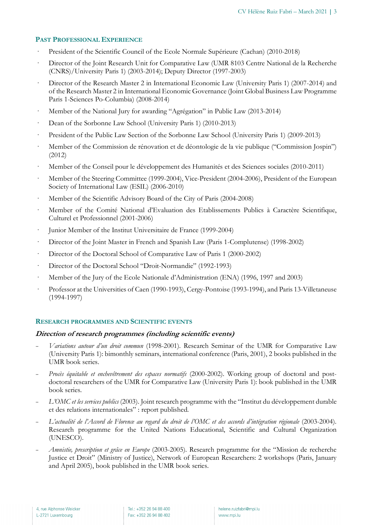## **PAST PROFESSIONAL EXPERIENCE**

- · President of the Scientific Council of the Ecole Normale Supérieure (Cachan) (2010-2018)
- · Director of the Joint Research Unit for Comparative Law (UMR 8103 Centre National de la Recherche (CNRS)/University Paris 1) (2003-2014); Deputy Director (1997-2003)
- · Director of the Research Master 2 in International Economic Law (University Paris 1) (2007-2014) and of the Research Master 2 in International Economic Governance (Joint Global Business Law Programme Paris 1-Sciences Po-Columbia) (2008-2014)
- · Member of the National Jury for awarding "Agrégation" in Public Law (2013-2014)
- · Dean of the Sorbonne Law School (University Paris 1) (2010-2013)
- · President of the Public Law Section of the Sorbonne Law School (University Paris 1) (2009-2013)
- · Member of the Commission de rénovation et de déontologie de la vie publique ("Commission Jospin") (2012)
- · Member of the Conseil pour le développement des Humanités et des Sciences sociales (2010-2011)
- · Member of the Steering Committee (1999-2004), Vice-President (2004-2006), President of the European Society of International Law (ESIL) (2006-2010)
- · Member of the Scientific Advisory Board of the City of Paris (2004-2008)
- · Member of the Comité National d'Evaluation des Etablissements Publics à Caractère Scientifique, Culturel et Professionnel (2001-2006)
- Junior Member of the Institut Universitaire de France (1999-2004)
- · Director of the Joint Master in French and Spanish Law (Paris 1-Complutense) (1998-2002)
- · Director of the Doctoral School of Comparative Law of Paris 1 (2000-2002)
- · Director of the Doctoral School "Droit-Normandie" (1992-1993)
- · Member of the Jury of the Ecole Nationale d'Administration (ENA) (1996, 1997 and 2003)
- · Professor at the Universities of Caen (1990-1993), Cergy-Pontoise (1993-1994), and Paris 13-Villetaneuse (1994-1997)

## **RESEARCH PROGRAMMES AND SCIENTIFIC EVENTS**

## **Direction of research programmes (including scientific events)**

- *Variations autour d'un droit commun* (1998-2001)*.* Research Seminar of the UMR for Comparative Law (University Paris 1): bimonthly seminars, international conference (Paris, 2001), 2 books published in the UMR book series.
- *Procès équitable et enchevêtrement des espaces normatifs* (2000-2002). Working group of doctoral and postdoctoral researchers of the UMR for Comparative Law (University Paris 1): book published in the UMR book series.
- *L'OMC et les services publics* (2003). Joint research programme with the "Institut du développement durable et des relations internationales" : report published.
- *L'actualité de l'Accord de Florence au regard du droit de l'OMC et des accords d'intégration régionale* (2003-2004). Research programme for the United Nations Educational, Scientific and Cultural Organization (UNESCO).
- *Amnistie, prescription et grâce en Europe* (2003-2005). Research programme for the "Mission de recherche Justice et Droit" (Ministry of Justice), Network of European Researchers: 2 workshops (Paris, January and April 2005), book published in the UMR book series.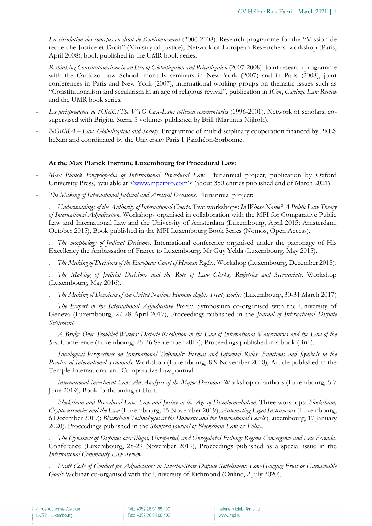- *La circulation des concepts en droit de l'environnement* (2006-2008). Research programme for the "Mission de recherche Justice et Droit" (Ministry of Justice), Network of European Researchers: workshop (Paris, April 2008), book published in the UMR book series.
- *Rethinking Constitutionalism in an Era of Globalization and Privatization* (2007-2008)*.* Joint research programme with the Cardozo Law School: monthly seminars in New York (2007) and in Paris (2008), joint conferences in Paris and New York (2007), international working groups on thematic issues such as "Constitutionalism and secularism in an age of religious revival", publication in *ICon*, *Cardozo Law Review* and the UMR book series.
- *La jurisprudence de l'OMC/The WTO Case-Law: collected commentaries* (1996-2001). Network of scholars, cosupervised with Brigitte Stern, 5 volumes published by Brill (Martinus Nijhoff).
- *NORMA – Law, Globalization and Society.* Programme of multidisciplinary cooperation financed by PRES heSam and coordinated by the University Paris 1 Panthéon-Sorbonne.

#### **At the Max Planck Institute Luxembourg for Procedural Law:**

- *Max Planck Encyclopedia of International Procedural Law.* Pluriannual project, publication by Oxford University Press, available at  $\langle www.mpeipro.com \rangle$  (about 350 entries published end of March 2021).
- *The Making of International Judicial and Arbitral Decisions.* Pluriannual project:

*. Understandings of the Authority of International Courts*. Two workshops: *In Whose Name? A Public Law Theory of International Adjudication*, Workshops organised in collaboration with the MPI for Comparative Public Law and International Law and the University of Amsterdam (Luxembourg, April 2015; Amsterdam, October 2015), Book published in the MPI Luxembourg Book Series (Nomos, Open Access).

*. The morphology of Judicial Decisions*. International conference organised under the patronage of His Excellency the Ambassador of France to Luxembourg, Mr Guy Yelda (Luxembourg, May 2015).

*. The Making of Decisions of the European Court of Human Rights*. Workshop (Luxembourg, December 2015).

*. The Making of Judicial Decisions and the Role of Law Clerks, Registries and Secretariats*. Workshop (Luxembourg, May 2016).

*. The Making of Decisions of the United Nations Human Rights Treaty Bodies* (Luxembourg, 30-31 March 2017)

*. The Expert in the International Adjudicative Process.* Symposium co-organised with the University of Geneva (Luxembourg, 27-28 April 2017), Proceedings published in the *Journal of International Dispute Settlement*.

*. A Bridge Over Troubled Waters: Dispute Resolution in the Law of International Watercourses and the Law of the Sea*. Conference (Luxembourg, 25-26 September 2017), Proceedings published in a book (Brill).

*. Sociological Perspectives on International Tribunals: Formal and Informal Rules, Functions and Symbols in the Practice of International Tribunals*. Workshop (Luxembourg, 8-9 November 2018), Article published in the Temple International and Comparative Law Journal.

*. International Investment Law: An Analysis of the Major Decisions*. Workshop of authors (Luxembourg, 6-7 June 2019), Book forthcoming at Hart.

*. Blockchain and Procedural Law: Law and Justice in the Age of Disintermediation.* Three worshops: *Blockchain, Cryptocurrencies and the Law* (Luxembourg, 15 November 2019); *Automating Legal Instruments* (Luxembourg, 6 December 2019); *Blockchain Technologies at the Domestic and the International Levels* (Luxembourg, 17 January 2020). Proceedings published in the *Stanford Journal of Blockchain Law & Policy*.

*. The Dynamics of Disputes over Illegal, Unreported, and Unregulated Fishing: Regime Convergence and Lex Ferenda*. Conference (Luxembourg, 28-29 November 2019), Proceedings published as a special issue in the *International Community Law Review*.

*. Draft Code of Conduct for Adjudicators in Investor-State Dispute Settelement: Low-Hanging Fruit or Unreachable Goal?* Webinar co-organised with the University of Richmond (Online, 2 July 2020).

Tel.: +352 26 94 88 400 Fax: +352 26 94 88 402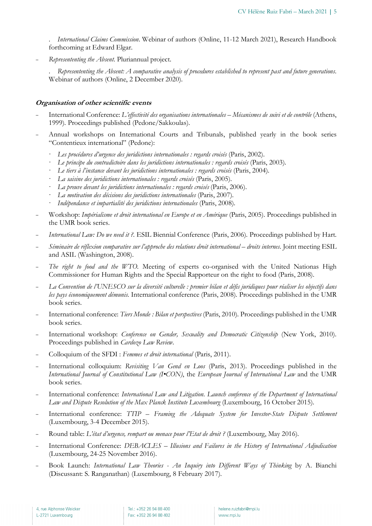. *International Claims Commission*. Webinar of authors (Online, 11-12 March 2021), Research Handbook forthcoming at Edward Elgar.

- *Represententing the Absent*. Pluriannual project.

. *Represententing the Absent: A comparative analysis of procedures established to represent past and future generations*. Webinar of authors (Online, 2 December 2020).

#### **Organisation of other scientific events**

- International Conference: *L'effectivité des organisations internationales – Mécanismes de suivi et de contrôle* (Athens, 1999). Proceedings published (Pedone/Sakkoulas).
- Annual workshops on International Courts and Tribunals, published yearly in the book series "Contentieux international" (Pedone):
	- · *Les procédures d'urgence des juridictions internationales : regards croisés* (Paris, 2002).
	- · *Le principe du contradictoire dans les juridictions internationales : regards croisés* (Paris, 2003).
	- · *Le tiers à l'instance devant les juridictions internationales : regards croisés* (Paris, 2004).
	- · *La saisine des juridictions internationales : regards croisés* (Paris, 2005).
	- · *La preuve devant les juridictions internationales : regards croisés* (Paris, 2006).
	- · *La motivation des décisions des juridictions internationales* (Paris, 2007).
	- · *Indépendance et impartialité des juridictions internationales* (Paris, 2008).
- Workshop: *Impérialisme et droit international en Europe et en Amérique* (Paris, 2005). Proceedings published in the UMR book series.
- *International Law: Do we need it ?.* ESIL Biennial Conference (Paris, 2006). Proceedings published by Hart.
- *Séminaire de réflexion comparative sur l'approche des relations droit international – droits internes*. Joint meeting ESIL and ASIL (Washington, 2008).
- The right to food and the WTO. Meeting of experts co-organised with the United Nationas High Commissioner for Human Rights and the Special Rapporteur on the right to food (Paris, 2008).
- *La Convention de l'UNESCO sur la diversité culturelle : premier bilan et défis juridiques pour réaliser les objectifs dans les pays économiquement démunis.* International conference (Paris, 2008). Proceedings published in the UMR book series.
- International conference: *Tiers Monde : Bilan et perspectives* (Paris, 2010). Proceedings published in the UMR book series.
- International workshop: *Conference on Gender, Sexuality and Democratic Citizenship* (New York, 2010). Proceedings published in *Cardozo Law Review*.
- Colloquium of the SFDI : *Femmes et droit international* (Paris, 2011).
- International colloquium: *Revisiting Van Gend en Loos* (Paris, 2013). Proceedings published in the *International Journal of Constitutional Law (I•CON)*, the *European Journal of International Law* and the UMR book series.
- International conference: *International Law and Litigation. Launch conference of the Department of International Law and Dispute Resolution of the Max Planck Institute Luxembourg* (Luxembourg, 16 October 2015).
- International conference: *TTIP – Framing the Adequate System for Investor-State Dispute Settlement* (Luxembourg, 3-4 December 2015).
- Round table: *L'état d'urgence, rempart ou menace pour l'Etat de droit ?* (Luxembourg, May 2016).
- International Conference: *DEBACLES – Illusions and Failures in the History of International Adjudication* (Luxembourg, 24-25 November 2016).
- Book Launch: *International Law Theories - An Inquiry into Different Ways of Thinking* by A. Bianchi (Discussant: S. Ranganathan) (Luxembourg, 8 February 2017).

Tel.: +352 26 94 88 400 Fax: +352 26 94 88 402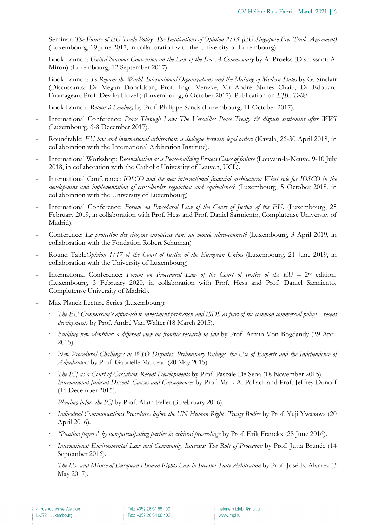- Seminar: *The Future of EU Trade Policy: The Implications of Opinion 2/15 (EU-Singapore Free Trade Agreement*) (Luxembourg, 19 June 2017, in collaboration with the University of Luxembourg).
- Book Launch: *United Nations Convention on the Law of the Sea: A Commentary* by A. Proelss (Discussant: A. Miron) (Luxembourg, 12 September 2017).
- Book Launch: *To Reform the World: International Organizations and the Making of Modern States* by G. Sinclair (Discussants: Dr Megan Donaldson, Prof. Ingo Venzke, Mr André Nunes Chaib, Dr Edouard Fromageau, Prof. Devika Hovell) (Luxembourg, 6 October 2017). Publication on *EJIL Talk!*
- Book Launch: *Retour à Lemberg* by Prof. Philippe Sands (Luxembourg, 11 October 2017).
- International Conference: Peace Through Law: The Versailles Peace Treaty  $\mathcal{Q}$  dispute settlement after WWI (Luxembourg, 6-8 December 2017).
- Roundtable: *EU law and international arbitration: a dialogue between legal orders* (Kavala, 26-30 April 2018, in collaboration with the International Arbitration Institute).
- International Workshop: *Reconciliation as a Peace-building Process Cases of failure* (Louvain-la-Neuve, 9-10 July 2018, in collaboration with the Catholic Univesrity of Leuven, UCL).
- International Conference: *IOSCO and the new international financial architecture: What role for IOSCO in the development and implementation of cross-border regulation and equivalence?* (Luxembourg, 5 October 2018, in collaboration with the University of Luxembourg)
- International Conference: *Forum on Procedural Law of the Court of Justice of the EU*. (Luxembourg, 25 February 2019, in collaboration with Prof. Hess and Prof. Daniel Sarmiento, Complutense University of Madrid).
- Conference: *La protection des citoyens européens dans un monde ultra-connecté* (Luxembourg, 3 April 2019, in collaboration with the Fondation Robert Schuman)
- Round Table*Opinion 1/17 of the Court of Justice of the European Union* (Luxembourg, 21 June 2019, in collaboration with the University of Luxembourg)
- International Conference: *Forum on Procedural Law of the Court of Justice of the EU* 2nd edition. (Luxembourg, 3 February 2020, in collaboration with Prof. Hess and Prof. Daniel Sarmiento, Complutense University of Madrid).
- Max Planck Lecture Series (Luxembourg):
	- · *The EU Commission's approach to investment protection and ISDS as part of the common commercial policy – recent developments* by Prof. André Van Walter (18 March 2015).
	- · *Building new identities: a different view on frontier research in law* by Prof. Armin Von Bogdandy (29 April 2015).
	- · *New Procedural Challenges in WTO Disputes: Preliminary Rulings, the Use of Experts and the Independence of Adjudicators* by Prof. Gabrielle Marceau (20 May 2015).
	- · *The ICJ as a Court of Cassation: Recent Developments* by Prof. Pascale De Sena (18 November 2015).
	- · *International Judicial Dissent: Causes and Consequences* by Prof. Mark A. Pollack and Prof. Jeffrey Dunoff (16 December 2015).
	- Pleading before the ICJ by Prof. Alain Pellet (3 February 2016).
	- · *Individual Communications Procedures before the UN Human Rights Treaty Bodies* by Prof. Yuji Ywasawa (20 April 2016).
	- · *"Position papers" by non-participating parties in arbitral proceedings* by Prof. Erik Franckx (28 June 2016).
	- · *International Environmental Law and Community Interests: The Role of Procedure* by Prof. Jutta Brunée (14 September 2016).
	- · *The Use and Misuse of European Human Rights Law in Investor-State Arbitration* by Prof. José E. Alvarez (3 May 2017).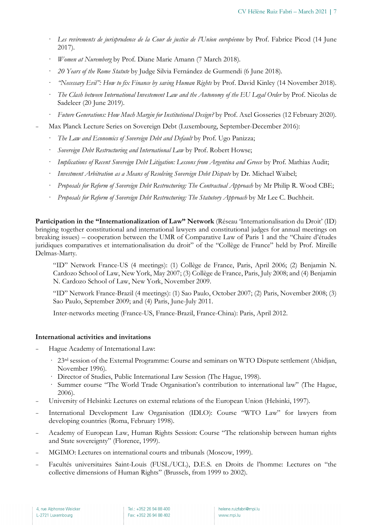- Les revirements de jurisprudence de la Cour de justice de l'Union européenne by Prof. Fabrice Picod (14 June 2017).
- · *Women at Nuremberg* by Prof. Diane Marie Amann (7 March 2018).
- · *20 Years of the Rome Statute* by Judge Silvia Fernández de Gurmendi (6 June 2018).
- · *"Necessary Evil": How to fix Finance by saving Human Rights* by Prof. David Kinley (14 November 2018).
- · *The Clash between International Investement Law and the Autonomy of the EU Legal Order* by Prof. Nicolas de Sadeleer (20 June 2019).
- · *Future Generations: How Much Margin for Institutional Design?* by Prof. Axel Gosseries (12 February 2020).
- Max Planck Lecture Series on Sovereign Debt (Luxembourg, September-December 2016):
	- · *The Law and Economics of Sovereign Debt and Default* by Prof. Ugo Panizza;
	- · *Sovereign Debt Restructuring and International Law* by Prof. Robert Howse;
	- · *Implications of Recent Sovereign Debt Litigation: Lessons from Argentina and Greece* by Prof. Mathias Audit;
	- · *Investment Arbitration as a Means of Resolving Sovereign Debt Dispute* by Dr. Michael Waibel;
	- · *Proposals for Reform of Sovereign Debt Restructuring: The Contractual Approach* by Mr Philip R. Wood CBE;
	- · *Proposals for Reform of Sovereign Debt Restructuring: The Statutory Approach* by Mr Lee C. Buchheit.

**Participation in the "Internationalization of Law" Network** (Réseau 'Internationalisation du Droit' (ID) bringing together constitutional and international lawyers and constitutional judges for annual meetings on breaking issues) – cooperation between the UMR of Comparative Law of Paris 1 and the "Chaire d'études juridiques comparatives et internationalisation du droit" of the "Collège de France" held by Prof. Mireille Delmas-Marty.

"ID" Network France-US (4 meetings): (1) Collège de France, Paris, April 2006; (2) Benjamin N. Cardozo School of Law, New York, May 2007; (3) Collège de France, Paris, July 2008; and (4) Benjamin N. Cardozo School of Law, New York, November 2009.

"ID" Network France-Brazil (4 meetings): (1) Sao Paulo, October 2007; (2) Paris, November 2008; (3) Sao Paulo, September 2009; and (4) Paris, June-July 2011.

Inter-networks meeting (France-US, France-Brazil, France-China): Paris, April 2012.

#### **International activities and invitations**

- Hague Academy of International Law:
	- · 23rd session of the External Programme: Course and seminars on WTO Dispute settlement (Abidjan, November 1996).
	- · Director of Studies, Public International Law Session (The Hague, 1998).
	- Summer course "The World Trade Organisation's contribution to international law" (The Hague, 2006).
- University of Helsinki: Lectures on external relations of the European Union (Helsinki, 1997).
- International Development Law Organisation (IDLO): Course "WTO Law" for lawyers from developing countries (Roma, February 1998).
- Academy of European Law, Human Rights Session: Course "The relationship between human rights and State sovereignty" (Florence, 1999).
- MGIMO: Lectures on international courts and tribunals (Moscow, 1999).
- Facultés universitaires Saint-Louis (FUSL/UCL), D.E.S. en Droits de l'homme: Lectures on "the collective dimensions of Human Rights" (Brussels, from 1999 to 2002).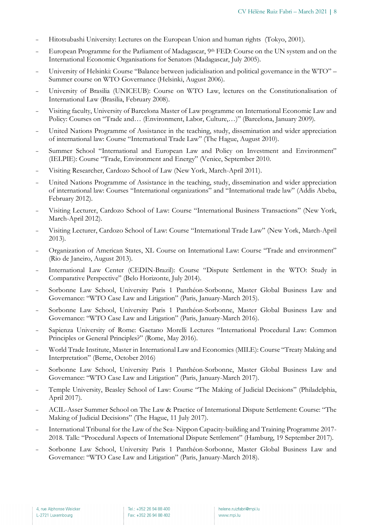- Hitotsubashi University: Lectures on the European Union and human rights (Tokyo, 2001).
- European Programme for the Parliament of Madagascar, 9<sup>th</sup> FED: Course on the UN system and on the International Economic Organisations for Senators (Madagascar, July 2005).
- University of Helsinki: Course "Balance between judicialisation and political governance in the WTO" Summer course on WTO Governance (Helsinki, August 2006).
- University of Brasilia (UNICEUB): Course on WTO Law, lectures on the Constitutionalisation of International Law (Brasilia, February 2008).
- Visiting faculty, University of Barcelona Master of Law programme on International Economic Law and Policy: Courses on "Trade and… (Environment, Labor, Culture,…)" (Barcelona, January 2009).
- United Nations Programme of Assistance in the teaching, study, dissemination and wider appreciation of international law: Course "International Trade Law" (The Hague, August 2010).
- Summer School "International and European Law and Policy on Investment and Environment" (IELPIE): Course "Trade, Environment and Energy" (Venice, September 2010.
- Visiting Researcher, Cardozo School of Law (New York, March-April 2011).
- United Nations Programme of Assistance in the teaching, study, dissemination and wider appreciation of international law: Courses "International organizations" and "International trade law" (Addis Abeba, February 2012).
- Visiting Lecturer, Cardozo School of Law: Course "International Business Transactions" (New York, March-April 2012).
- Visiting Lecturer, Cardozo School of Law: Course "International Trade Law" (New York, March-April 2013).
- Organization of American States, XL Course on International Law: Course "Trade and environment" (Rio de Janeiro, August 2013).
- International Law Center (CEDIN-Brazil): Course "Dispute Settlement in the WTO: Study in Comparative Perspective" (Belo Horizonte, July 2014).
- Sorbonne Law School, University Paris 1 Panthéon-Sorbonne, Master Global Business Law and Governance: "WTO Case Law and Litigation" (Paris, January-March 2015).
- Sorbonne Law School, University Paris 1 Panthéon-Sorbonne, Master Global Business Law and Governance: "WTO Case Law and Litigation" (Paris, January-March 2016).
- Sapienza University of Rome: Gaetano Morelli Lectures "International Procedural Law: Common Principles or General Principles?" (Rome, May 2016).
- World Trade Institute, Master in International Law and Economics (MILE): Course "Treaty Making and Interpretation" (Berne, October 2016)
- Sorbonne Law School, University Paris 1 Panthéon-Sorbonne, Master Global Business Law and Governance: "WTO Case Law and Litigation" (Paris, January-March 2017).
- Temple University, Beasley School of Law: Course "The Making of Judicial Decisions" (Philadelphia, April 2017).
- ACIL-Asser Summer School on The Law & Practice of International Dispute Settlement: Course: "The Making of Judicial Decisions" (The Hague, 11 July 2017).
- International Tribunal for the Law of the Sea- Nippon Capacity-building and Training Programme 2017- 2018. Talk: "Procedural Aspects of International Dispute Settlement" (Hamburg, 19 September 2017).
- Sorbonne Law School, University Paris 1 Panthéon-Sorbonne, Master Global Business Law and Governance: "WTO Case Law and Litigation" (Paris, January-March 2018).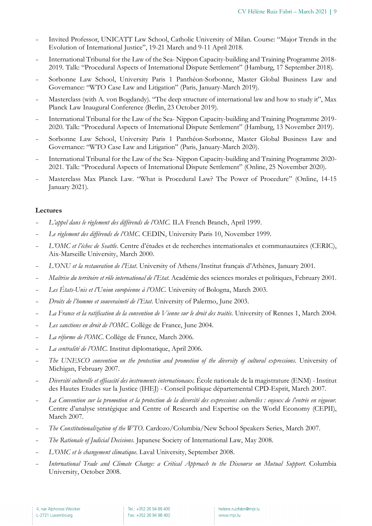- Invited Professor, UNICATT Law School, Catholic University of Milan. Course: "Major Trends in the Evolution of International Justice", 19-21 March and 9-11 April 2018.
- International Tribunal for the Law of the Sea- Nippon Capacity-building and Training Programme 2018- 2019. Talk: "Procedural Aspects of International Dispute Settlement" (Hamburg, 17 September 2018).
- Sorbonne Law School, University Paris 1 Panthéon-Sorbonne, Master Global Business Law and Governance: "WTO Case Law and Litigation" (Paris, January-March 2019).
- Masterclass (with A. von Bogdandy). "The deep structure of international law and how to study it", Max Planck Law Inaugural Conference (Berlin, 23 October 2019).
- International Tribunal for the Law of the Sea- Nippon Capacity-building and Training Programme 2019- 2020. Talk: "Procedural Aspects of International Dispute Settlement" (Hamburg, 13 November 2019).
- Sorbonne Law School, University Paris 1 Panthéon-Sorbonne, Master Global Business Law and Governance: "WTO Case Law and Litigation" (Paris, January-March 2020).
- International Tribunal for the Law of the Sea- Nippon Capacity-building and Training Programme 2020- 2021. Talk: "Procedural Aspects of International Dispute Settlement" (Online, 25 November 2020).
- Masterclass Max Planck Law. "What is Procedural Law? The Power of Procedure" (Online, 14-15 January 2021).

#### **Lectures**

- *L'appel dans le règlement des différends de l'OMC.* ILA French Branch, April 1999.
- *Le règlement des différends de l'OMC*. CEDIN, University Paris 10, November 1999.
- *L'OMC et l'échec de Seattle*. Centre d'études et de recherches internationales et communautaires (CERIC), Aix-Marseille University, March 2000.
- *L'ONU et la restauration de l'Etat*. University of Athens/Institut français d'Athènes, January 2001.
- *Maîtrise du territoire et rôle international de l'Etat*. Académie des sciences morales et politiques, February 2001.
- *Les États-Unis et l'Union européenne à l'OMC*. University of Bologna, March 2003.
- *Droits de l'homme et souveraineté de l'Etat*. University of Palermo, June 2003.
- *La France et la ratification de la convention de Vienne sur le droit des traités*. University of Rennes 1, March 2004.
- *Les sanctions en droit de l'OMC*. Collège de France, June 2004.
- *La réforme de l'OMC*. Collège de France, March 2006.
- La centralité de l'OMC. Institut diplomatique, April 2006.
- The UNESCO convention on the protection and promotion of the diversity of cultural expressions. University of Michigan, February 2007.
- *Diversité culturelle et efficacité des instruments internationaux*. École nationale de la magistrature (ENM) -Institut des Hautes Etudes sur la Justice (IHEJ) - Conseil politique départemental CPD-Esprit, March 2007.
- *La Convention sur la promotion et la protection de la diversité des expressions culturelles : enjeux de l'entrée en vigueur.* Centre d'analyse stratégique and Centre of Research and Expertise on the World Economy (CEPII), March 2007.
- *The Constitutionalization of the WTO*. Cardozo/Columbia/New School Speakers Series, March 2007.
- *The Rationale of Judicial Decisions*. Japanese Society of International Law, May 2008.
- *L'OMC et le changement climatique*. Laval University, September 2008.
- *International Trade and Climate Change: a Critical Approach to the Discourse on Mutual Support*. Columbia University, October 2008.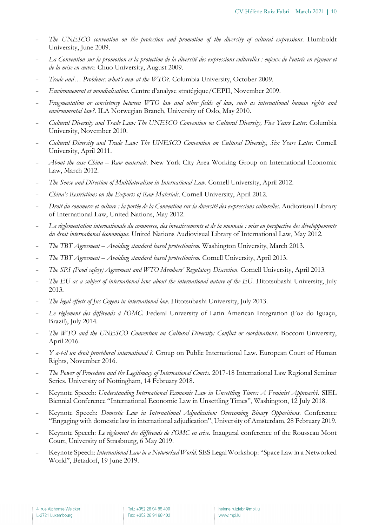- The UNESCO convention on the protection and promotion of the diversity of cultural expressions. Humboldt University, June 2009.
- *La Convention sur la promotion et la protection de la diversité des expressions culturelles : enjeux de l'entrée en vigueur et de la mise en œuvre*. Chuo University, August 2009.
- *Trade and… Problems: what's new at the WTO?.* Columbia University, October 2009.
- *Environnement et mondialisation*. Centre d'analyse stratégique/CEPII, November 2009.
- *Fragmentation or consistency between WTO law and other fields of law, such as international human rights and environmental law?*. ILA Norwegian Branch, University of Oslo, May 2010.
- *Cultural Diversity and Trade Law: The UNESCO Convention on Cultural Diversity, Five Years Later*. Columbia University, November 2010.
- *Cultural Diversity and Trade Law: The UNESCO Convention on Cultural Diversity, Six Years Later*. Cornell University, April 2011.
- *About the case China – Raw materials*. New York City Area Working Group on International Economic Law, March 2012.
- *The Sense and Direction of Multilateralism in International Law*. Cornell University, April 2012.
- *China's Restrictions on the Exports of Raw Materials*. Cornell University, April 2012.
- *Droit du commerce et culture : la portée de la Convention sur la diversité des expressions culturelles*. Audiovisual Library of International Law, United Nations, May 2012.
- *La règlementation internationale du commerce, des investissements et de la monnaie : mise en perspective des développements du droit international économique*. United Nations Audiovisual Library of International Law, May 2012.
- *The TBT Agreement – Avoiding standard based protectionism*. Washington University, March 2013.
- *The TBT Agreement – Avoiding standard based protectionism*. Cornell University, April 2013.
- *The SPS (Food safety) Agreement and WTO Members' Regulatory Discretion*. Cornell University, April 2013.
- The EU as a subject of international law: about the international nature of the EU. Hitotsubashi University, July 2013.
- *The legal effects of Jus Cogens in international law*. Hitotsubashi University, July 2013.
- Le règlement des différends à l'OMC. Federal University of Latin American Integration (Foz do Iguacu, Brazil), July 2014.
- *The WTO and the UNESCO Convention on Cultural Diversity: Conflict or coordination?*. Bocconi University, April 2016.
- *Y a-t-il un droit procédural international ?*. Group on Public International Law. European Court of Human Rights, November 2016.
- *The Power of Procedure and the Legitimacy of International Courts*. 2017-18 International Law Regional Seminar Series. University of Nottingham, 14 February 2018.
- Keynote Speech: *Understanding International Economic Law in Unsettling Times: A Feminist Approach?*. SIEL Biennial Conference "International Economic Law in Unsettling Times", Washington, 12 July 2018.
- Keynote Speech: *Domestic Law in International Adjudication: Overcoming Binary Oppositions*. Conference "Engaging with domestic law in international adjudication", University of Amsterdam, 28 February 2019.
- Keynote Speech: *Le règlement des différends de l'OMC en crise*. Inaugural conference of the Rousseau Moot Court, University of Strasbourg, 6 May 2019.
- Keynote Speech: *International Law in a Networked World*. SES Legal Workshop: "Space Law in a Networked World", Betzdorf, 19 June 2019.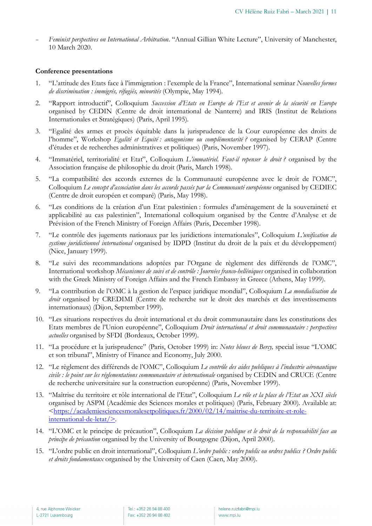- *Feminist perspectives on International Arbitration*. "Annual Gillian White Lecture", University of Manchester, 10 March 2020.

#### **Conference presentations**

- 1. "L'attitude des Etats face à l'immigration : l'exemple de la France", International seminar *Nouvelles formes de discrimination : immigrés, réfugiés, minorités* (Olympie, May 1994).
- 2. "Rapport introductif", Colloquium *Succession d'Etats en Europe de l'Est et avenir de la sécurité en Europe* organised by CEDIN (Centre de droit international de Nanterre) and IRIS (Institut de Relations Internationales et Stratégiques) (Paris, April 1995).
- 3. "Egalité des armes et procès équitable dans la jurisprudence de la Cour européenne des droits de l'homme", Workshop *Egalité et Equité : antagonisme ou complémentarité ?* organised by CERAP (Centre d'études et de recherches administratives et politiques) (Paris, November 1997).
- 4. "Immatériel, territorialité et Etat", Colloquium *L'immatériel. Faut-il repenser le droit ?* organised by the Association française de philosophie du droit (Paris, March 1998).
- 5. "La compatibilité des accords externes de la Communauté européenne avec le droit de l'OMC", Colloquium *Le concept d'association dans les accords passés par la Communauté européenne* organised by CEDIEC (Centre de droit européen et comparé) (Paris, May 1998).
- 6. "Les conditions de la création d'un Etat palestinien : formules d'aménagement de la souveraineté et applicabilité au cas palestinien", International colloquium organised by the Centre d'Analyse et de Prévision of the French Ministry of Foreign Affairs (Paris, December 1998).
- 7. "Le contrôle des jugements nationaux par les juridictions internationales", Colloquium *L'unification du système juridictionnel international* organised by IDPD (Institut du droit de la paix et du développement) (Nice, January 1999).
- 8. "Le suivi des recommandations adoptées par l'Organe de règlement des différends de l'OMC", International workshop *Mécanismes de suivi et de contrôle : Journées franco-helléniques* organised in collaboration with the Greek Ministry of Foreign Affairs and the French Embassy in Greece (Athens, May 1999).
- 9. "La contribution de l'OMC à la gestion de l'espace juridique mondial", Colloquium *La mondialisation du droit* organised by CREDIMI (Centre de recherche sur le droit des marchés et des investissements internationaux) (Dijon, September 1999).
- 10. "Les situations respectives du droit international et du droit communautaire dans les constitutions des Etats membres de l'Union européenne", Colloquium *Droit international et droit communautaire : perspectives actuelles* organised by SFDI (Bordeaux, October 1999).
- 11. "La procédure et la jurisprudence" (Paris, October 1999) in: *Notes bleues de Bercy,* special issue "L'OMC et son tribunal", Ministry of Finance and Economy, July 2000.
- 12. "Le règlement des différends de l'OMC", Colloquium *Le contrôle des aides publiques à l'industrie aéronautique civile : le point sur les réglementations communautaire et internationale* organised by CEDIN and CRUCE (Centre de recherche universitaire sur la construction européenne) (Paris, November 1999).
- 13. "Maîtrise du territoire et rôle international de l'Etat", Colloquium *Le rôle et la place de l'Etat au XXI siècle* organised by ASPM (Académie des Sciences morales et politiques) (Paris, February 2000). Available at: <https://academiesciencesmoralesetpolitiques.fr/2000/02/14/maitrise-du-territoire-et-roleinternational-de-letat/>.
- 14. "L'OMC et le principe de précaution", Colloquium *La décision publique et le droit de la responsabilité face au principe de précaution* organised by the University of Bourgogne (Dijon, April 2000).
- 15. "L'ordre public en droit international", Colloquium *L'ordre public : ordre public ou ordres publics ? Ordre public et droits fondamentaux* organised by the University of Caen (Caen, May 2000).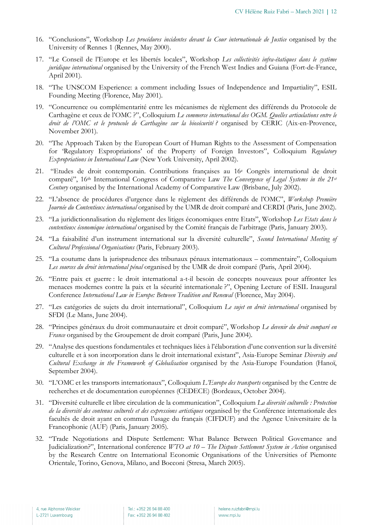- 16. "Conclusions", Workshop *Les procédures incidentes devant la Cour internationale de Justice* organised by the University of Rennes 1 (Rennes, May 2000).
- 17. "Le Conseil de l'Europe et les libertés locales", Workshop *Les collectivités infra-étatiques dans le système juridique international* organised by the University of the French West Indies and Guiana (Fort-de-France, April 2001).
- 18. "The UNSCOM Experience: a comment including Issues of Independence and Impartiality", ESIL Founding Meeting (Florence, May 2001).
- 19. "Concurrence ou complémentarité entre les mécanismes de règlement des différends du Protocole de Carthagène et ceux de l'OMC ?", Colloquium *Le commerce international des OGM. Quelles articulations entre le droit de l'OMC et le protocole de Carthagène sur la biosécurité ?* organised by CERIC (Aix-en-Provence, November 2001).
- 20. "The Approach Taken by the European Court of Human Rights to the Assessment of Compensation for 'Regulatory Expropriations' of the Property of Foreign Investors", Colloquium *Regulatory Expropriations in International Law* (New York University, April 2002).
- 21. "Etudes de droit contemporain. Contributions françaises au 16e Congrès international de droit comparé", 16th International Congress of Comparative Law *The Convergence of Legal Systems in the 21st Century* organised by the International Academy of Comparative Law (Brisbane, July 2002).
- 22. "L'absence de procédures d'urgence dans le règlement des différends de l'OMC", *Workshop Première Journée du Contentieux international* organised by the UMR de droit comparé and CERDI (Paris, June 2002).
- 23. "La juridictionnalisation du règlement des litiges économiques entre Etats", Workshop *Les Etats dans le contentieux économique international* organised by the Comité français de l'arbitrage (Paris, January 2003).
- 24. "La faisabilité d'un instrument international sur la diversité culturelle", *Second International Meeting of Cultural Professional Organisations* (Paris, February 2003).
- 25. "La coutume dans la jurisprudence des tribunaux pénaux internationaux commentaire", Colloquium *Les sources du droit international pénal* organised by the UMR de droit comparé (Paris, April 2004).
- 26. "Entre paix et guerre : le droit international a-t-il besoin de concepts nouveaux pour affronter les menaces modernes contre la paix et la sécurité internationale ?", Opening Lecture of ESIL Inaugural Conference *International Law in Europe: Between Tradition and Renewal* (Florence, May 2004).
- 27. "Les catégories de sujets du droit international", Colloquium *Le sujet en droit international* organised by SFDI (Le Mans, June 2004).
- 28. "Principes généraux du droit communautaire et droit comparé", Workshop *Le devenir du droit comparé en France* organised by the Groupement de droit comparé (Paris, June 2004).
- 29. "Analyse des questions fondamentales et techniques liées à l'élaboration d'une convention sur la diversité culturelle et à son incorporation dans le droit international existant", Asia-Europe Seminar *Diversity and Cultural Exchange in the Framework of Globalisation* organised by the Asia-Europe Foundation (Hanoï, September 2004).
- 30. "L'OMC et les transports internationaux", Colloquium *L'Europe des transports* organised by the Centre de recherches et de documentation européennes (CEDECE) (Bordeaux, October 2004).
- 31. "Diversité culturelle et libre circulation de la communication", Colloquium *La diversité culturelle : Protection de la diversité des contenus culturels et des expressions artistiques* organised by the Conférence internationale des facultés de droit ayant en commun l'usage du français (CIFDUF) and the Agence Universitaire de la Francophonie (AUF) (Paris, January 2005).
- 32. "Trade Negotiations and Dispute Settlement: What Balance Between Political Governance and Judicialization?", International conference *WTO at 10 – The Dispute Settlement System in Action* organised by the Research Centre on International Economic Organisations of the Universities of Piemonte Orientale, Torino, Genova, Milano, and Bocconi (Stresa, March 2005).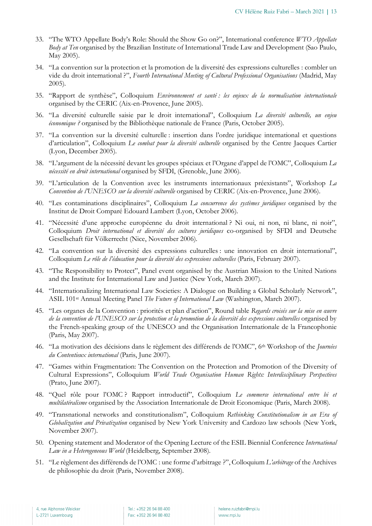- 33. "The WTO Appellate Body's Role: Should the Show Go on?", International conference *WTO Appellate Body at Ten* organised by the Brazilian Institute of International Trade Law and Development (Sao Paulo, May 2005).
- 34. "La convention sur la protection et la promotion de la diversité des expressions culturelles : combler un vide du droit international ?", *Fourth International Meeting of Cultural Professional Organisations* (Madrid, May 2005).
- 35. "Rapport de synthèse", Colloquium *Environnement et santé : les enjeux de la normalisation internationale* organised by the CERIC (Aix-en-Provence, June 2005).
- 36. "La diversité culturelle saisie par le droit international", Colloquium *La diversité culturelle, un enjeu économique ?* organised by the Bibliothèque nationale de France (Paris, October 2005).
- 37. "La convention sur la diversité culturelle : insertion dans l'ordre juridique international et questions d'articulation", Colloquium *Le combat pour la diversité culturelle* organised by the Centre Jacques Cartier (Lyon, December 2005).
- 38. "L'argument de la nécessité devant les groupes spéciaux et l'Organe d'appel de l'OMC", Colloquium *La nécessité en droit international* organised by SFDI, (Grenoble, June 2006).
- 39. "L'articulation de la Convention avec les instruments internationaux préexistants", Workshop *La Convention de l'UNESCO sur la diversité culturelle* organised by CERIC (Aix-en-Provence, June 2006).
- 40. "Les contaminations disciplinaires", Colloquium *La concurrence des systèmes juridiques* organised by the Institut de Droit Comparé Edouard Lambert (Lyon, October 2006).
- 41. "Nécessité d'une approche européenne du droit international ? Ni oui, ni non, ni blanc, ni noir", Colloquium *Droit international et diversité des cultures juridiques* co-organised by SFDI and Deutsche Gesellschaft für Völkerrecht (Nice, November 2006).
- 42. "La convention sur la diversité des expressions culturelles : une innovation en droit international", Colloquium *Le rôle de l'éducation pour la diversité des expressions culturelles* (Paris, February 2007).
- 43. "The Responsibility to Protect", Panel event organised by the Austrian Mission to the United Nations and the Institute for International Law and Justice (New York, March 2007).
- 44. "Internationalizing International Law Societies: A Dialogue on Building a Global Scholarly Network", ASIL 101st Annual Meeting Panel *The Future of International Law* (Washington, March 2007).
- 45. "Les organes de la Convention : priorités et plan d'action", Round table *Regards croisés sur la mise en œuvre de la convention de l'UNESCO sur la protection et la promotion de la diversité des expressions culturelles* organised by the French-speaking group of the UNESCO and the Organisation Internationale de la Francophonie (Paris, May 2007).
- 46. "La motivation des décisions dans le règlement des différends de l'OMC", 6th Workshop of the *Journées du Contentieux international* (Paris, June 2007).
- 47. "Games within Fragmentation: The Convention on the Protection and Promotion of the Diversity of Cultural Expressions", Colloquium *World Trade Organisation Human Rights: Interdisciplinary Perspectives* (Prato, June 2007).
- 48. "Quel rôle pour l'OMC ? Rapport introductif", Colloquium *Le commerce international entre bi et multilatéralisme* organised by the Association Internationale de Droit Economique (Paris, March 2008).
- 49. "Transnational networks and constitutionalism", Colloquium *Rethinking Constitutionalism in an Era of Globalization and Privatization* organised by New York University and Cardozo law schools (New York, November 2007).
- 50. Opening statement and Moderator of the Opening Lecture of the ESIL Biennial Conference *International Law in a Heterogeneous World* (Heidelberg, September 2008).
- 51. "Le règlement des différends de l'OMC : une forme d'arbitrage ?", Colloquium *L'arbitrage* of the Archives de philosophie du droit (Paris, November 2008).

Tel.: +352 26 94 88 400 Fax: +352 26 94 88 402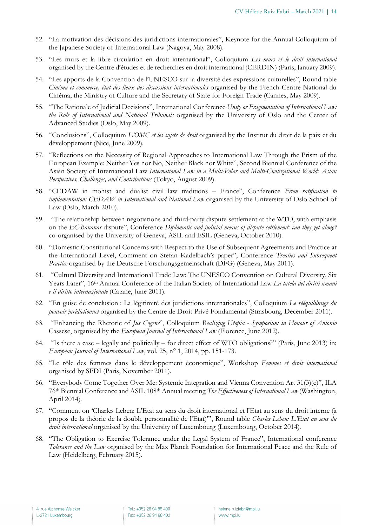- 52. "La motivation des décisions des juridictions internationales", Keynote for the Annual Colloquium of the Japanese Society of International Law (Nagoya, May 2008).
- 53. "Les murs et la libre circulation en droit international", Colloquium *Les murs et le droit international* organised by the Centre d'études et de recherches en droit international (CERDIN) (Paris, January 2009).
- 54. "Les apports de la Convention de l'UNESCO sur la diversité des expressions culturelles", Round table *Cinéma et commerce, état des lieux des discussions internationales* organised by the French Centre National du Cinéma, the Ministry of Culture and the Secretary of State for Foreign Trade (Cannes, May 2009).
- 55. "The Rationale of Judicial Decisions", International Conference *Unity or Fragmentation of International Law: the Role of International and National Tribunals* organised by the University of Oslo and the Center of Advanced Studies (Oslo, May 2009).
- 56. "Conclusions", Colloquium *L'OMC et les sujets de droit* organised by the Institut du droit de la paix et du développement (Nice, June 2009).
- 57. "Reflections on the Necessity of Regional Approaches to International Law Through the Prism of the European Example: Neither Yes nor No, Neither Black nor White", Second Biennial Conference of the Asian Society of International Law *International Law in a Multi-Polar and Multi-Civilizational World: Asian Perspectives, Challenges, and Contributions* (Tokyo, August 2009).
- 58. "CEDAW in monist and dualist civil law traditions France", Conference *From ratification to implementation: CEDAW in International and National Law* organised by the University of Oslo School of Law (Oslo, March 2010).
- 59. "The relationship between negotiations and third-party dispute settlement at the WTO, with emphasis on the *EC-Bananas* dispute", Conference *Diplomatic and judicial means of dispute settlement: can they get along?* co-organised by the University of Geneva, ASIL and ESIL (Geneva, October 2010).
- 60. "Domestic Constitutional Concerns with Respect to the Use of Subsequent Agreements and Practice at the International Level, Comment on Stefan Kadelbach's paper", Conference *Treaties and Subsequent Practice* organised by the Deutsche Forschungsgemeinschaft (DFG) (Geneva, May 2011).
- 61. "Cultural Diversity and International Trade Law: The UNESCO Convention on Cultural Diversity, Six Years Later", 16th Annual Conference of the Italian Society of International Law *La tutela dei diritti umani e il diritto internazionale* (Catane, June 2011).
- 62. "En guise de conclusion : La légitimité des juridictions internationales", Colloquium *Le rééquilibrage du pouvoir juridictionnel* organised by the Centre de Droit Privé Fondamental (Strasbourg, December 2011).
- 63. "Enhancing the Rhetoric of *Jus Cogens*", Colloquium *Realizing Utopia - Symposium in Honour of Antonio*  Cassese, organised by the *European Journal of International Law* (Florence, June 2012).
- 64. "Is there a case legally and politically for direct effect of WTO obligations?" (Paris, June 2013) in: *European Journal of International Law*, vol. 25, n° 1, 2014, pp. 151-173.
- 65. "Le rôle des femmes dans le développement économique", Workshop *Femmes et droit international* organised by SFDI (Paris, November 2011).
- 66. "Everybody Come Together Over Me: Systemic Integration and Vienna Convention Art 31(3)(c)", ILA 76th Biennial Conference and ASIL 108th Annual meeting *The Effectiveness of International Law* (Washington, April 2014).
- 67. "Comment on 'Charles Leben: L'Etat au sens du droit international et l'Etat au sens du droit interne (à propos de la théorie de la double personnalité de l'Etat)'", Round table *Charles Leben: L'Etat au sens du droit international* organised by the University of Luxembourg (Luxembourg, October 2014).
- 68. "The Obligation to Exercise Tolerance under the Legal System of France", International conference *Tolerance and the Law* organised by the Max Planck Foundation for International Peace and the Rule of Law (Heidelberg, February 2015).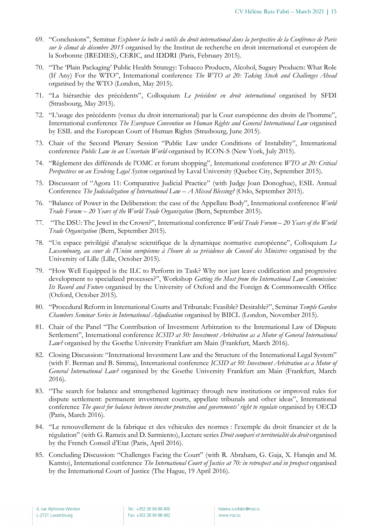- 69. "Conclusions", Seminar *Explorer la boîte à outils du droit international dans la perspective de la Conférence de Paris sur le climat de décembre 2015* organised by the Institut de recherche en droit international et européen de la Sorbonne (IREDIES), CERIC, and IDDRI (Paris, February 2015).
- 70. "The 'Plain Packaging' Public Health Strategy: Tobacco Products, Alcohol, Sugary Products: What Role (If Any) For the WTO", International conference *The WTO at 20: Taking Stock and Challenges Ahead* organised by the WTO (London, May 2015).
- 71. "La hiérarchie des précédents", Colloquium *Le précédent en droit international* organised by SFDI (Strasbourg, May 2015).
- 72. "L'usage des précédents (venus du droit international) par la Cour européenne des droits de l'homme", International conference *The European Convention on Human Rights and General International Law* organised by ESIL and the European Court of Human Rights (Strasbourg, June 2015).
- 73. Chair of the Second Plenary Session "Public Law under Conditions of Instability", International conference *Public Law in an Uncertain World* organised by ICON-S (New York, July 2015).
- 74. "Règlement des différends de l'OMC et forum shopping", International conference *WTO at 20: Critical Perspectives on an Evolving Legal System* organised by Laval University (Quebec City, September 2015).
- 75. Discussant of "Agora 11: Comparative Judicial Practice" (with Judge Joan Donoghue), ESIL Annual Conference *The Judicialization of International Law – A Mixed Blessing?* (Oslo, September 2015).
- 76. "Balance of Power in the Deliberation: the case of the Appellate Body", International conference *World Trade Forum – 20 Years of the World Trade Organization* (Bern, September 2015).
- 77. "The DSU: The Jewel in the Crown?", International conference *World Trade Forum – 20 Years of the World Trade Organization* (Bern, September 2015).
- 78. "Un espace privilégié d'analyse scientifique de la dynamique normative européenne", Colloquium *Le Luxembourg, au cœur de l'Union européenne à l'heure de sa présidence du Conseil des Ministres* organised by the University of Lille (Lille, October 2015).
- 79. "How Well Equipped is the ILC to Perform its Task? Why not just leave codification and progressive development to specialized processes?", Workshop *Getting the Most from the International Law Commission: Its Record and Future* organised by the University of Oxford and the Foreign & Commonwealth Office (Oxford, October 2015).
- 80. "Procedural Reform in International Courts and Tribunals: Feasible? Desirable?", Seminar *Temple Garden Chambers Seminar Series in International Adjudication* organised by BIICL (London, November 2015).
- 81. Chair of the Panel "The Contribution of Investment Arbitration to the International Law of Dispute Settlement", International conference *ICSID at 50: Investment Arbitration as a Motor of General International Law?* organised by the Goethe University Frankfurt am Main (Frankfurt, March 2016).
- 82. Closing Discussion: "International Investment Law and the Structure of the International Legal System" (with F. Berman and B. Simma), International conference *ICSID at 50: Investment Arbitration as a Motor of General International Law?* organised by the Goethe University Frankfurt am Main (Frankfurt, March 2016).
- 83. "The search for balance and strengthened legitimacy through new institutions or improved rules for dispute settlement: permanent investment courts, appellate tribunals and other ideas", International conference *The quest for balance between investor protection and governments' right to regulate* organised by OECD (Paris, March 2016).
- 84. "Le renouvellement de la fabrique et des véhicules des normes : l'exemple du droit financier et de la régulation" (with G. Rameix and D. Sarmiento), Lecture series *Droit comparé et territorialité du droit* organised by the French Conseil d'Etat (Paris, April 2016).
- 85. Concluding Discussion: "Challenges Facing the Court" (with R. Abraham, G. Gaja, X. Hanqin and M. Kamto), International conference *The International Court of Justice at 70: in retrospect and in prospect* organised by the International Court of Justice (The Hague, 19 April 2016).

Tel.: +352 26 94 88 400 Fax: +352 26 94 88 402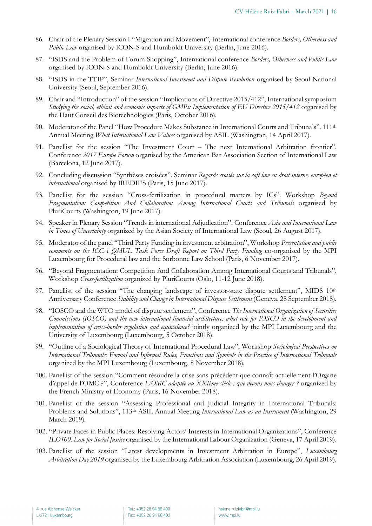- 86. Chair of the Plenary Session I "Migration and Movement", International conference *Borders, Otherness and Public Law* organised by ICON-S and Humboldt University (Berlin, June 2016).
- 87. "ISDS and the Problem of Forum Shopping", International conference *Borders, Otherness and Public Law* organised by ICON-S and Humboldt University (Berlin, June 2016).
- 88. "ISDS in the TTIP", Seminar *International Investment and Dispute Resolution* organised by Seoul National University (Seoul, September 2016).
- 89. Chair and "Introduction" of the session "Implications of Directive 2015/412", International symposium *Studying the social, ethical and economic impacts of GMPs: Implementation of EU Directive 2015/412* organised by the Haut Conseil des Biotechnologies (Paris, October 2016).
- 90. Moderator of the Panel "How Procedure Makes Substance in International Courts and Tribunals". 111th Annual Meeting *What International Law Values* organised by ASIL (Washington, 14 April 2017).
- 91. Panellist for the session "The Investment Court The next International Arbitration frontier". Conference *2017 Europe Forum* organised by the American Bar Association Section of International Law (Barcelona, 12 June 2017).
- 92. Concluding discussion "Synthèses croisées". Seminar *Regards croisés sur la soft law en droit interne, européen et international* organised by IREDIES (Paris, 15 June 2017).
- 93. Panellist for the session "Cross-fertilization in procedural matters by ICs". Workshop *Beyond Fragmentation: Competition And Collaboration Among International Courts and Tribunals* organised by PluriCourts (Washington, 19 June 2017).
- 94. Speaker in Plenary Session "Trends in international Adjudication". Conference *Asia and International Law in Times of Uncertainty* organized by the Asian Society of International Law (Seoul, 26 August 2017).
- 95. Moderator of the panel "Third Party Funding in investment arbitration", Workshop *Presentation and public comments on the ICCA QMUL Task Force Draft Report on Third Party Funding* co-organised by the MPI Luxembourg for Procedural law and the Sorbonne Law School (Paris, 6 November 2017).
- 96. "Beyond Fragmentation: Competition And Collaboration Among International Courts and Tribunals", Workshop *Cross-fertilization* organized by PluriCourts (Oslo, 11-12 June 2018).
- 97. Panellist of the session "The changing landscape of investor-state dispute settlement", MIDS 10th Anniversary Conference *Stability and Change in International Dispute Settlement* (Geneva, 28 September 2018).
- 98. "IOSCO and the WTO model of dispute settlement", Conference *The International Organization of Securities Commissions (IOSCO) and the new international financial architecture: what role for IOSCO in the development and implementation of cross-border regulation and equivalence?* jointly organized by the MPI Luxembourg and the University of Luxembourg (Luxembourg, 5 October 2018).
- 99. "Outline of a Sociological Theory of International Procedural Law", Workshop *Sociological Perspectives on International Tribunals: Formal and Informal Rules, Functions and Symbols in the Practice of International Tribunals* organized by the MPI Luxembourg (Luxembourg, 8 November 2018).
- 100. Panellist of the session "Comment résoudre la crise sans précédent que connaît actuellement l'Organe d'appel de l'OMC ?", Conference *L'OMC adaptée au XXIème siècle : que devons-nous changer ?* organized by the French Ministry of Economy (Paris, 16 November 2018).
- 101. Panellist of the session "Assessing Professional and Judicial Integrity in International Tribunals: Problems and Solutions", 113th ASIL Annual Meeting *International Law as an Instrument* (Washington, 29 March 2019).
- 102. "Private Faces in Public Places: Resolving Actors' Interests in International Organizations", Conference *ILO100: Law for Social Justice* organised by the International Labour Organization (Geneva, 17 April 2019).
- 103. Panellist of the session "Latest developments in Investment Arbitration in Europe", *Luxembourg Arbitration Day 2019* organised by the Luxembourg Arbitration Association (Luxembourg, 26 April 2019).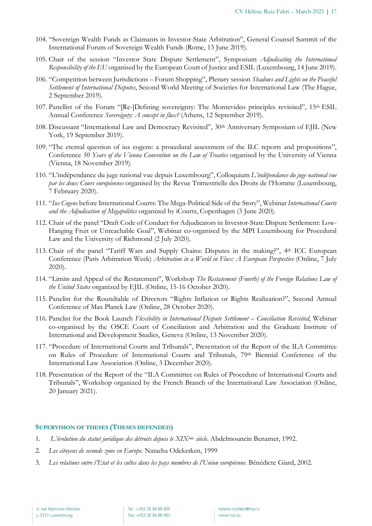- 104. "Sovereign Wealth Funds as Claimants in Investor-State Arbitration", General Counsel Summit of the International Forum of Sovereign Wealth Funds (Rome, 13 June 2019).
- 105. Chair of the session "Investor State Dispute Settlement", Symposium *Adjudicating the International Responsibility of the EU* organised by the European Court of Justice and ESIL (Luxembourg, 14 June 2019).
- 106. "Competition between Jurisdictions Forum Shopping", Plenary session *Shadows and Lights on the Peaceful Settlement of International Disputes*, Second World Meeting of Societies for International Law (The Hague, 2 September 2019).
- 107. Panellist of the Forum "[Re-]Defining sovereignty: The Montevideo principles revisited", 15th ESIL Annual Conference *Sovereignty: A concept in flux?* (Athens, 12 September 2019).
- 108. Discussant "International Law and Democracy Revisited", 30th Anniversary Symposium of EJIL (New York, 19 September 2019).
- 109. "The eternal question of ius cogens: a procedural assessment of the ILC reports and propositions", Conference *50 Years of the Vienna Convention on the Law of Treaties* organised by the University of Vienna (Vienna, 18 November 2019).
- 110. "L'indépendance du juge national vue depuis Luxembourg", Colloquium *L'indépendance du juge national vue par les deux Cours européennes* organised by the Revue Trimestrielle des Droits de l'Homme (Luxembourg, 7 February 2020).
- 111. "*Ius Cogens* before International Courts: The Mega-Political Side of the Story", Webinar *International Courts and the Adjudication of Megapolitics* organized by iCourts, Copenhagen (3 June 2020).
- 112. Chair of the panel "Draft Code of Conduct for Adjudicators in Investor-State Dispute Settlement: Low-Hanging Fruit or Unreachable Goal", Webinar co-organised by the MPI Luxembourg for Procedural Law and the University of Richmond (2 July 2020).
- 113. Chair of the panel "Tariff Wars and Supply Chains: Disputes in the making?", 4th ICC European Conference (Paris Arbitration Week) *Arbitration in a World in Flux: A European Perspective* (Online, 7 July 2020).
- 114. "Limits and Appeal of the Restatement", Workshop *The Restatement (Fourth) of the Foreign Relations Law of the United States* organized by EJIL (Online, 15-16 October 2020).
- 115. Panelist for the Roundtable of Directors "Rights Inflation or Rights Realization?", Second Annual Conference of Max Planck Law (Online, 28 October 2020).
- 116. Panelist for the Book Launch *Flexibility in International Dispute Settlement – Conciliation Revisited*, Webinar co-organised by the OSCE Court of Conciliation and Arbitration and the Graduate Institute of International and Development Studies, Geneva (Online, 13 November 2020).
- 117. "Procedure of International Courts and Tribunals", Presentation of the Report of the ILA Committee on Rules of Procedure of International Courts and Tribunals, 79th Biennial Conference of the International Law Association (Online, 3 December 2020).
- 118. Presentation of the Report of the "ILA Committee on Rules of Procedure of International Courts and Tribunals", Workshop organized by the French Branch of the International Law Association (Online, 20 January 2021).

#### **SUPERVISION OF THESES (THESES DEFENDED)**

- 1. *L'évolution du statut juridique des détroits depuis le XIXème siècle*. Abdelmounein Benamer, 1992.
- 2. *Les citoyens de seconde zone en Europe*. Natacha Odekerken, 1999
- 3. *Les relations entre l'Etat et les cultes dans les pays membres de l'Union européenne*. Bénédicte Giard, 2002.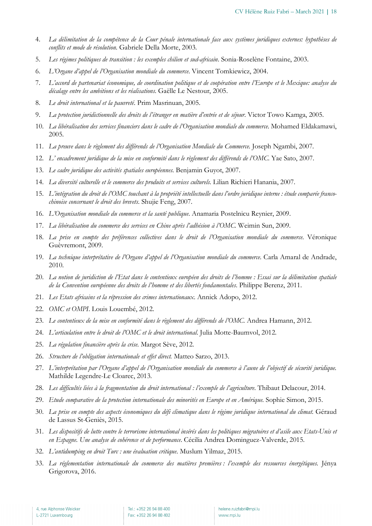- 4. *La délimitation de la compétence de la Cour pénale internationale face aux systèmes juridiques externes: hypothèses de conflits et mode de résolution*. Gabriele Della Morte, 2003.
- 5. *Les régimes politiques de transition : les exemples chilien et sud-africain*. Sonia-Roselène Fontaine, 2003.
- 6. *L'Organe d'appel de l'Organisation mondiale du commerce*. Vincent Tomkiewicz, 2004.
- 7. *L'accord de partenariat économique, de coordination politique et de coopération entre l'Europe et le Mexique: analyse du décalage entre les ambitions et les réalisations*. Gaëlle Le Nestour, 2005.
- 8. *Le droit international et la pauvreté*. Prim Masrinuan, 2005.
- 9. *La protection juridictionnelle des droits de l'étranger en matière d'entrée et de séjour*. Victor Towo Kamga, 2005.
- 10. *La libéralisation des services financiers dans le cadre de l'Organisation mondiale du commerce*. Mohamed Eldakamawi, 2005.
- 11. *La preuve dans le règlement des différends de l'Organisation Mondiale du Commerce*. Joseph Ngambi, 2007.
- 12. *L' encadrement juridique de la mise en conformité dans le règlement des différends de l'OMC*. Yae Sato, 2007.
- 13. *Le cadre juridique des activités spatiales européennes*. Benjamin Guyot, 2007.
- 14. *La diversité culturelle et le commerce des produits et services culturels*. Lilian Richieri Hanania, 2007.
- 15. *L'intégration du droit de l'OMC touchant à la propriété intellectuelle dans l'ordre juridique interne : étude comparée francochinoise concernant le droit des brevets*. Shujie Feng, 2007.
- 16. *L'Organisation mondiale du commerce et la santé publique*. Anamaria Postelnicu Reynier, 2009.
- 17. *La libéralisation du commerce des services en Chine après l'adhésion à l'OMC*. Weimin Sun, 2009.
- 18. *La prise en compte des préférences collectives dans le droit de l'Organisation mondiale du commerce*. Véronique Guèvremont, 2009.
- 19. *La technique interprétative de l'Organe d'appel de l'Organisation mondiale du commerce*. Carla Amaral de Andrade, 2010.
- 20. *La notion de juridiction de l'Etat dans le contentieux européen des droits de l'homme : Essai sur la délimitation spatiale de la Convention européenne des droits de l'homme et des libertés fondamentales*. Philippe Berenz, 2011.
- 21. *Les Etats africains et la répression des crimes internationaux*. Annick Adopo, 2012.
- 22. *OMC et OMPI*. Louis Louembé, 2012.
- 23. *Le contentieux de la mise en conformité dans le règlement des différends de l'OMC.* Andrea Hamann, 2012.
- 24. *L'articulation entre le droit de l'OMC et le droit international.* Julia Motte-Baumvol, 2012.
- 25. *La régulation financière après la crise.* Margot Sève, 2012.
- 26. *Structure de l'obligation internationale et effet direct.* Matteo Sarzo, 2013.
- 27. *L'interprétation par l'Organe d'appel de l'Organisation mondiale du commerce à l'aune de l'objectif de sécurité juridique.*  Mathilde Legendre-Le Cloarec, 2013.
- 28. *Les difficultés liées à la fragmentation du droit international : l'exemple de l'agriculture*. Thibaut Delacour, 2014.
- 29. *Etude comparative de la protection internationale des minorités en Europe et en Amérique*. Sophie Simon, 2015.
- 30. *La prise en compte des aspects économiques du défi climatique dans le régime juridique international du climat*. Géraud de Lassus St-Geniès, 2015.
- 31. *Les dispositifs de lutte contre le terrorisme international insérés dans les politiques migratoires et d'asile aux Etats-Unis et en Espagne. Une analyse de cohérence et de performance*. Cécilia Andrea Dominguez-Valverde, 2015.
- 32. *L'antidumping en droit Turc : une évaluation critique*. Muslum Yilmaz, 2015.
- 33. *La réglementation internationale du commerce des matières premières : l'exemple des ressources énergétiques.* Jénya Grigorova, 2016.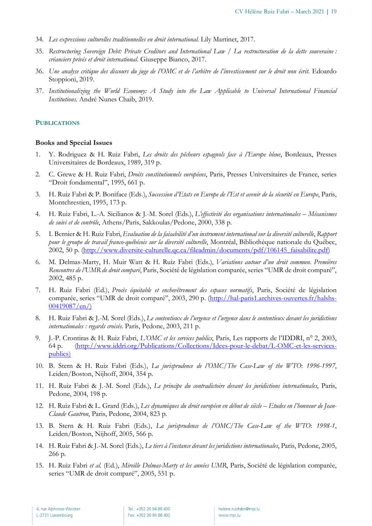- 34. *Les expressions culturelles traditionnelles en droit international.* Lily Martinet, 2017.
- 35. *Restructuring Sovereign Debt: Private Creditors and International Law / La restructuration de la dette souveraine : créanciers privés et droit international*. Giuseppe Bianco, 2017.
- 36. *Une analyse critique des discours du juge de l'OMC et de l'arbitre de l'investissement sur le droit non écrit*. Edoardo Stoppioni, 2019.
- 37. *Institutionalizing the World Economy: A Study into the Law Applicable to Universal International Financial Institutions*. André Nunes Chaib, 2019.

#### **PUBLICATIONS**

#### **Books and Special Issues**

- 1. Y. Rodriguez & H. Ruiz Fabri, *Les droits des pêcheurs espagnols face à l'Europe bleue*, Bordeaux, Presses Universitaires de Bordeaux, 1989, 319 p.
- 2. C. Grewe & H. Ruiz Fabri, *Droits constitutionnels européens*, Paris, Presses Universitaires de France, series "Droit fondamental", 1995, 661 p.
- 3. H. Ruiz Fabri & P. Boniface (Eds.), *Succession d'Etats en Europe de l'Est et avenir de la sécurité en Europe*, Paris, Montchrestien, 1995, 173 p.
- 4. H. Ruiz Fabri, L.-A. Sicilianos & J.-M. Sorel (Eds.), *L'effectivité des organisations internationales – Mécanismes de suivi et de contrôle*, Athens/Paris, Sakkoulas/Pedone, 2000, 338 p.
- 5. I. Bernier & H. Ruiz Fabri,*Evaluation de la faisabilité d'un instrument international sur la diversité culturelle*, *Rapport pour le groupe de travail franco-québécois sur la diversité culturelle*, Montréal, Bibliothèque nationale du Québec, 2002, 50 p. (http://www.diversite-culturelle.qc.ca/fileadmin/documents/pdf/106145\_faisabilite.pdf)
- 6. M. Delmas-Marty, H. Muir Watt & H. Ruiz Fabri (Eds.), *Variations autour d'un droit commun. Premières Rencontres de l'UMR de droit comparé*, Paris, Société de législation comparée, series "UMR de droit comparé", 2002, 485 p.
- 7. H. Ruiz Fabri (Ed.), *Procès équitable et enchevêtrement des espaces normatifs*, Paris, Société de législation comparée, series "UMR de droit comparé", 2003, 290 p. (http://hal-paris1.archives-ouvertes.fr/halshs-00419087/en/)
- 8. H. Ruiz Fabri & J.-M. Sorel (Eds.), *Le contentieux de l'urgence et l'urgence dans le contentieux devant les juridictions internationales : regards croisés.* Paris, Pedone, 2003, 211 p.
- 9. J.-P. Crontiras & H. Ruiz Fabri, *L'OMC et les services publics*, Paris, Les rapports de l'IDDRI, n° 2, 2003, 64 p. (http://www.iddri.org/Publications/Collections/Idees-pour-le-debat/L-OMC-et-les-servicespublics)
- 10. B. Stern & H. Ruiz Fabri (Eds.), *La jurisprudence de l'OMC/The Case-Law of the WTO*: *1996-1997*, Leiden/Boston, Nijhoff, 2004, 354 p.
- 11. H. Ruiz Fabri & J.-M. Sorel (Eds.), *Le principe du contradictoire devant les juridictions internationales*, Paris, Pedone, 2004, 198 p.
- 12. H. Ruiz Fabri & L. Grard (Eds.), *Les dynamiques du droit européen en début de siècle – Etudes en l'honneur de Jean-Claude Gautron*, Paris, Pedone, 2004, 823 p.
- 13. B. Stern & H. Ruiz Fabri (Eds.), *La jurisprudence de l'OMC/The Case-Law of the WTO*: *1998-1*, Leiden/Boston, Nijhoff, 2005, 566 p.
- 14. H. Ruiz Fabri & J.-M. Sorel (Eds.), *Le tiers à l'instance devant les juridictions internationales*, Paris, Pedone, 2005, 266 p.
- 15. H. Ruiz Fabri *et al.* (Ed.), *Mireille Delmas-Marty et les années UMR*, Paris, Société de législation comparée, series "UMR de droit comparé", 2005, 551 p.

Tel.: +352 26 94 88 400 Fax: +352 26 94 88 402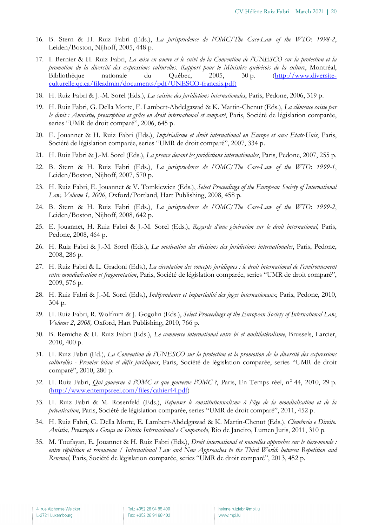- 16. B. Stern & H. Ruiz Fabri (Eds.), *La jurisprudence de l'OMC/The Case-Law of the WTO*: *1998-2*, Leiden/Boston, Nijhoff, 2005, 448 p.
- 17. I. Bernier & H. Ruiz Fabri, *La mise en œuvre et le suivi de la Convention de l'UNESCO sur la protection et la promotion de la diversité des expressions culturelles*. *Rapport pour le Ministère québécois de la culture*, Montréal, Bibliothèque nationale du Québec, 2005, 30 p. (http://www.diversiteculturelle.qc.ca/fileadmin/documents/pdf/UNESCO-francais.pdf)
- 18. H. Ruiz Fabri & J.-M. Sorel (Eds.), *La saisine des juridictions internationales*, Paris, Pedone, 2006, 319 p.
- 19. H. Ruiz Fabri, G. Della Morte, E. Lambert-Abdelgawad & K. Martin-Chenut (Eds.), *La clémence saisie par le droit : Amnistie, prescription et grâce en droit international et comparé*, Paris, Société de législation comparée, series "UMR de droit comparé", 2006, 645 p.
- 20. E. Jouannet & H. Ruiz Fabri (Eds.), *Impérialisme et droit international en Europe et aux Etats-Unis*, Paris, Société de législation comparée, series "UMR de droit comparé", 2007, 334 p.
- 21. H. Ruiz Fabri & J.-M. Sorel (Eds.), *La preuve devant les juridictions internationales*, Paris, Pedone, 2007, 255 p.
- 22. B. Stern & H. Ruiz Fabri (Eds.), *La jurisprudence de l'OMC/The Case-Law of the WTO*: *1999-1*, Leiden/Boston, Nijhoff, 2007, 570 p.
- 23. H. Ruiz Fabri, E. Jouannet & V. Tomkiewicz (Eds.), *Select Proceedings of the European Society of International Law, Volume 1, 2006*, Oxford/Portland, Hart Publishing, 2008, 458 p.
- 24. B. Stern & H. Ruiz Fabri (Eds.), *La jurisprudence de l'OMC/The Case-Law of the WTO*: *1999-2*, Leiden/Boston, Nijhoff, 2008, 642 p.
- 25. E. Jouannet, H. Ruiz Fabri & J.-M. Sorel (Eds.), *Regards d'une génération sur le droit international*, Paris, Pedone, 2008, 464 p.
- 26. H. Ruiz Fabri & J.-M. Sorel (Eds.), *La motivation des décisions des juridictions internationales*, Paris, Pedone, 2008, 286 p.
- 27. H. Ruiz Fabri & L. Gradoni (Eds.), *La circulation des concepts juridiques : le droit international de l'environnement entre mondialisation et fragmentation*, Paris, Société de législation comparée, series "UMR de droit comparé", 2009, 576 p.
- 28. H. Ruiz Fabri & J.-M. Sorel (Eds.), *Indépendance et impartialité des juges internationaux*, Paris, Pedone, 2010, 304 p.
- 29. H. Ruiz Fabri, R. Wolfrum & J. Gogolin (Eds.), *Select Proceedings of the European Society of International Law*, *Volume 2*, *2008,* Oxford, Hart Publishing, 2010, 766 p.
- 30. B. Remiche & H. Ruiz Fabri (Eds.), *Le commerce international entre bi et multilatéralisme*, Brussels, Larcier, 2010, 400 p.
- 31. H. Ruiz Fabri (Ed.), *La Convention de l'UNESCO sur la protection et la promotion de la diversité des expressions culturelles - Premier bilan et défis juridiques*, Paris, Société de législation comparée, series "UMR de droit comparé", 2010, 280 p.
- 32. H. Ruiz Fabri, *Qui gouverne à l'OMC et que gouverne l'OMC ?*, Paris, En Temps réel, n° 44, 2010, 29 p. (http://www.entempsreel.com/files/cahier44.pdf)
- 33. H. Ruiz Fabri & M. Rosenfeld (Eds.), *Repenser le constitutionnalisme à l'âge de la mondialisation et de la privatisation*, Paris, Société de législation comparée, series "UMR de droit comparé", 2011, 452 p.
- 34. H. Ruiz Fabri, G. Della Morte, E. Lambert-Abdelgawad & K. Martin-Chenut (Eds.), *Clemência e Direito. Anistia, Prescrição e Graça no Direito Internacional e Comparado*, Rio de Janeiro, Lumen Juris, 2011, 310 p.
- 35. M. Toufayan, E. Jouannet & H. Ruiz Fabri (Eds.), *Droit international et nouvelles approches sur le tiers-monde : entre répétition et renouveau / International Law and New Approaches to the Third World: between Repetition and Renewal*, Paris, Société de législation comparée, series "UMR de droit comparé", 2013, 452 p.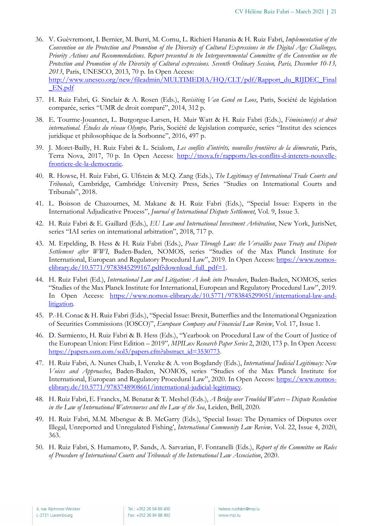- 36. V. Guèvremont, I. Bernier, M. Burri, M. Cornu, L. Richieri Hanania & H. Ruiz Fabri, *Implementation of the Convention on the Protection and Promotion of the Diversity of Cultural Expressions in the Digital Age: Challenges, Priority Actions and Recommendations. Report presented to the Intergovernmental Committee of the Convention on the Protection and Promotion of the Diversity of Cultural expressions. Seventh Ordinary Session, Paris, December 10-13, 2013*, Paris, UNESCO, 2013, 70 p. In Open Access: http://www.unesco.org/new/fileadmin/MULTIMEDIA/HQ/CLT/pdf/Rapport\_du\_RIJDEC\_Final \_EN.pdf
- 37. H. Ruiz Fabri, G. Sinclair & A. Rosen (Eds.), *Revisiting Van Gend en Loos*, Paris, Société de législation comparée, series "UMR de droit comparé", 2014, 312 p.
- 38. E. Tourme-Jouannet, L. Burgorgue-Larsen, H. Muir Watt & H. Ruiz Fabri (Eds.), *Féminisme(s) et droit international. Études du réseau Olympe,* Paris, Société de législation comparée, series "Institut des sciences juridique et philosophique de la Sorbonne", 2016, 497 p.
- 39. J. Moret-Bailly, H. Ruiz Fabri & L. Scialom, *Les conflits d'intérêts, nouvelles frontières de la démocratie*, Paris, Terra Nova, 2017, 70 p. In Open Access: http://tnova.fr/rapports/les-conflits-d-interets-nouvellefrontiere-de-la-democratie.
- 40. R. Howse, H. Ruiz Fabri, G. Ulfstein & M.Q. Zang (Eds.), *The Legitimacy of International Trade Courts and Tribunals*, Cambridge, Cambridge University Press, Series "Studies on International Courts and Tribunals", 2018.
- 41. L. Boisson de Chazournes, M. Makane & H. Ruiz Fabri (Eds.), "Special Issue: Experts in the International Adjudicative Process", *Journal of International Dispute Settlement*, Vol. 9, Issue 3.
- 42. H. Ruiz Fabri & E. Gaillard (Eds.), *EU Law and International Investment Arbitration*, New York, JurisNet, series "IAI series on international arbitration", 2018, 717 p.
- 43. M. Erpelding, B. Hess & H. Ruiz Fabri (Eds.), *Peace Through Law: the Versailles peace Treaty and Dispute Settlement after WWI*, Baden-Baden, NOMOS, series "Studies of the Max Planck Institute for International, European and Regulatory Procedural Law", 2019. In Open Access: https://www.nomoselibrary.de/10.5771/9783845299167.pdf?download\_full\_pdf=1.
- 44. H. Ruiz Fabri (Ed.), *International Law and Litigation: A look into Procedure*, Baden-Baden, NOMOS, series "Studies of the Max Planck Institute for International, European and Regulatory Procedural Law", 2019. In Open Access: https://www.nomos-elibrary.de/10.5771/9783845299051/international-law-andlitigation.
- 45. P.-H. Conac & H. Ruiz Fabri (Eds.), "Special Issue: Brexit, Butterflies and the International Organization of Securities Commissions (IOSCO)", *European Company and Financial Law Review*, Vol. 17, Issue 1.
- 46. D. Sarmiento, H. Ruiz Fabri & B. Hess (Eds.), "Yearbook on Procedural Law of the Court of Justice of the European Union: First Edition – 2019"*, MPILux Research Paper Series* 2, 2020, 173 p. In Open Access: https://papers.ssrn.com/sol3/papers.cfm?abstract\_id=3530773.
- 47. H. Ruiz Fabri, A. Nunes Chaib, I. Venzke & A. von Bogdandy (Eds.), *International Judicial Legitimacy: New Voices and Approaches*, Baden-Baden, NOMOS, series "Studies of the Max Planck Institute for International, European and Regulatory Procedural Law", 2020. In Open Access: https://www.nomoselibrary.de/10.5771/9783748908661/international-judicial-legitimacy.
- 48. H. Ruiz Fabri, E. Franckx, M. Benatar & T. Meshel (Eds.), *A Bridge over Troubled Waters – Dispute Resolution in the Law of International Watercourses and the Law of the Sea*, Leiden, Brill, 2020.
- 49. H. Ruiz Fabri, M.M. Mbengue & B. McGarry (Eds.), 'Special Issue: The Dynamics of Disputes over Illegal, Unreported and Unregulated Fishing', *International Community Law Review,* Vol. 22, Issue 4, 2020, 363.
- 50. H. Ruiz Fabri, S. Hamamoto, P. Sands, A. Sarvarian, F. Fontanelli (Eds.), *Report of the Committee on Rules of Procedure of International Courts and Tribunals of the International Law Association*, 2020.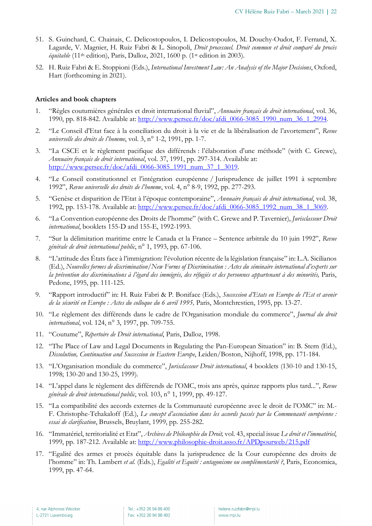- 51. S. Guinchard, C. Chainais, C. Delicostopoulos, I. Delicostopoulos, M. Douchy-Oudot, F. Ferrand, X. Lagarde, V. Magnier, H. Ruiz Fabri & L. Sinopoli, *Droit processuel. Droit commun et droit comparé du procès équitable* (11th edition), Paris, Dalloz, 2021, 1600 p. (1st edition in 2003).
- 52. H. Ruiz Fabri & E. Stoppioni (Eds.), *International Investment Law: An Analysis of the Major Decisions*, Oxford, Hart (forthcoming in 2021).

#### **Articles and book chapters**

- 1. "Règles coutumières générales et droit international fluvial", *Annuaire français de droit international*, vol. 36, 1990, pp. 818-842. Available at: http://www.persee.fr/doc/afdi\_0066-3085\_1990\_num\_36\_1\_2994.
- 2. "Le Conseil d'Etat face à la conciliation du droit à la vie et de la libéralisation de l'avortement", *Revue universelle des droits de l'homme*, vol. 3, n° 1-2, 1991, pp. 1-7.
- 3. "La CSCE et le règlement pacifique des différends : l'élaboration d'une méthode" (with C. Grewe), *Annuaire français de droit international*, vol. 37, 1991, pp. 297-314. Available at: http://www.persee.fr/doc/afdi\_0066-3085\_1991\_num\_37\_1\_3019.
- 4. "Le Conseil constitutionnel et l'intégration européenne / Jurisprudence de juillet 1991 à septembre 1992", *Revue universelle des droits de l'homme*, vol. 4, n° 8-9, 1992, pp. 277-293.
- 5. "Genèse et disparition de l'Etat à l'époque contemporaine", *Annuaire français de droit international*, vol. 38, 1992, pp. 153-178. Available at: http://www.persee.fr/doc/afdi\_0066-3085\_1992\_num\_38\_1\_3069.
- 6. "La Convention européenne des Droits de l'homme" (with C. Grewe and P. Tavernier), *Jurisclasseur Droit international*, booklets 155-D and 155-E, 1992-1993.
- 7. "Sur la délimitation maritime entre le Canada et la France Sentence arbitrale du 10 juin 1992", *Revue générale de droit international public*, n° 1, 1993, pp. 67-106.
- 8. "L'attitude des États face à l'immigration: l'évolution récente de la législation française" in: L.A. Sicilianos (Ed.), *Nouvelles formes de discrimination/New Forms of Discrimination : Actes du séminaire international d'experts sur la prévention des discriminations à l'égard des immigrés, des réfugiés et des personnes appartenant à des minorités,* Paris, Pedone, 1995, pp. 111-125.
- 9. "Rapport introductif" in: H. Ruiz Fabri & P. Boniface (Eds.), *Succession d'Etats en Europe de l'Est et avenir de la sécurité en Europe : Actes du colloque du 6 avril 1995,* Paris, Montchrestien, 1995, pp. 13-27.
- 10. "Le règlement des différends dans le cadre de l'Organisation mondiale du commerce", *Journal du droit international*, vol. 124, n° 3, 1997, pp. 709-755.
- 11. "Coutume", *Répertoire de Droit international*, Paris, Dalloz, 1998.
- 12. "The Place of Law and Legal Documents in Regulating the Pan-European Situation" in: B. Stern (Ed.), *Dissolution, Continuation and Succession in Eastern Europe*, Leiden/Boston, Nijhoff, 1998, pp. 171-184.
- 13. "L'Organisation mondiale du commerce", *Jurisclasseur Droit international*, 4 booklets (130-10 and 130-15, 1998; 130-20 and 130-25, 1999).
- 14. "L'appel dans le règlement des différends de l'OMC, trois ans après, quinze rapports plus tard...", *Revue générale de droit international public*, vol. 103, n° 1, 1999, pp. 49-127.
- 15. "La compatibilité des accords externes de la Communauté européenne avec le droit de l'OMC" in: M.- F. Christophe-Tchakaloff (Ed.), *Le concept d'association dans les accords passés par la Communauté européenne : essai de clarification*, Brussels, Bruylant, 1999, pp. 255-282.
- 16. "Immatériel, territorialité et Etat", *Archives de Philosophie du Droit,* vol. 43, special issue *Le droit et l'immatériel*, 1999, pp. 187-212. Available at: http://www.philosophie-droit.asso.fr/APDpourweb/215.pdf
- 17. "Egalité des armes et procès équitable dans la jurisprudence de la Cour européenne des droits de l'homme" in: Th. Lambert *et al.* (Eds.), *Egalité et Equité : antagonisme ou complémentarité ?*, Paris, Economica, 1999, pp. 47-64.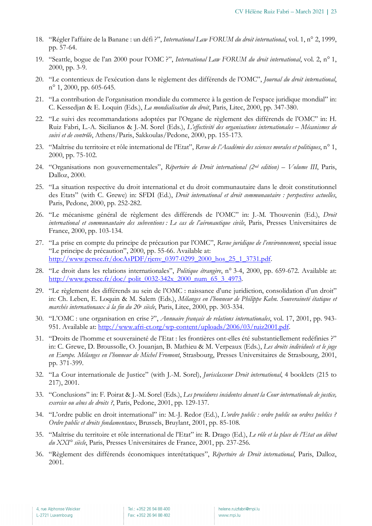- 18. "Régler l'affaire de la Banane : un défi ?", *International Law FORUM du droit international*, vol. 1, n° 2, 1999, pp. 57-64.
- 19. "Seattle, bogue de l'an 2000 pour l'OMC ?", *International Law FORUM du droit international*, vol. 2, n° 1, 2000, pp. 3-9.
- 20. "Le contentieux de l'exécution dans le règlement des différends de l'OMC", *Journal du droit international*, n° 1, 2000, pp. 605-645.
- 21. "La contribution de l'organisation mondiale du commerce à la gestion de l'espace juridique mondial" in: C. Kessedjan & E. Loquin (Eds.), *La mondialisation du droit*, Paris, Litec, 2000, pp. 347-380.
- 22. "Le suivi des recommandations adoptées par l'Organe de règlement des différends de l'OMC" in: H. Ruiz Fabri, L.-A. Sicilianos & J.-M. Sorel (Eds.), *L'effectivité des organisations internationales – Mécanismes de suivi et de contrôle*, Athens/Paris, Sakkoulas/Pedone, 2000, pp. 155-173.
- 23. "Maîtrise du territoire et rôle international de l'Etat", *Revue de l'Académie des sciences morales et politiques*, n° 1, 2000, pp. 75-102.
- 24. "Organisations non gouvernementales", *Répertoire de Droit international (2nd edition) – Volume III*, Paris, Dalloz, 2000.
- 25. "La situation respective du droit international et du droit communautaire dans le droit constitutionnel des Etats" (with C. Grewe) in: SFDI (Ed.), *Droit international et droit communautaire : perspectives actuelles*, Paris, Pedone, 2000, pp. 252-282.
- 26. "Le mécanisme général de règlement des différends de l'OMC" in: J.-M. Thouvenin (Ed.), *Droit international et communautaire des subventions : Le cas de l'aéronautique civile*, Paris, Presses Universitaires de France, 2000, pp. 103-134.
- 27. "La prise en compte du principe de précaution par l'OMC", *Revue juridique de l'environnement*, special issue "Le principe de précaution", 2000, pp. 55-66. Available at: http://www.persee.fr/docAsPDF/rjenv\_0397-0299\_2000\_hos\_25\_1\_3731.pdf.
- 28. "Le droit dans les relations internationales", *Politique étrangère*, n° 3-4, 2000, pp. 659-672. Available at: http://www.persee.fr/doc/ polit\_0032-342x\_2000\_num\_65\_3\_4973.
- 29. "Le règlement des différends au sein de l'OMC : naissance d'une juridiction, consolidation d'un droit" in: Ch. Leben, E. Loquin & M. Salem (Eds.), *Mélanges en l'honneur de Philippe Kahn. Souveraineté étatique et marchés internationaux à la fin du 20e siècle*, Paris, Litec, 2000, pp. 303-334.
- 30. "L'OMC : une organisation en crise ?", *Annuaire français de relations internationales*, vol. 17, 2001, pp. 943- 951. Available at: http://www.afri-ct.org/wp-content/uploads/2006/03/ruiz2001.pdf.
- 31. "Droits de l'homme et souveraineté de l'Etat : les frontières ont-elles été substantiellement redéfinies ?" in: C. Grewe, D. Broussolle, O. Jouanjan, B. Mathieu & M. Verpeaux (Eds.), *Les droits individuels et le juge en Europe. Mélanges en l'honneur de Michel Fromont*, Strasbourg, Presses Universitaires de Strasbourg, 2001, pp. 371-399.
- 32. "La Cour internationale de Justice" (with J.-M. Sorel), *Jurisclasseur Droit international*, 4 booklets (215 to 217), 2001.
- 33. "Conclusions" in: F. Poirat & J.-M. Sorel (Eds.), *Les procédures incidentes devant la Cour internationale de justice, exercice ou abus de droits ?*, Paris, Pedone, 2001, pp. 129-137.
- 34. "L'ordre public en droit international" in: M.-J. Redor (Ed.), *L'ordre public : ordre public ou ordres publics ? Ordre public et droits fondamentaux*, Brussels, Bruylant, 2001, pp. 85-108.
- 35. "Maîtrise du territoire et rôle international de l'Etat" in: R. Drago (Ed.), *Le rôle et la place de l'Etat au début du XXI° siècle*, Paris, Presses Universitaires de France, 2001, pp. 237-256.
- 36. "Règlement des différends économiques interétatiques", *Répertoire de Droit international*, Paris, Dalloz, 2001.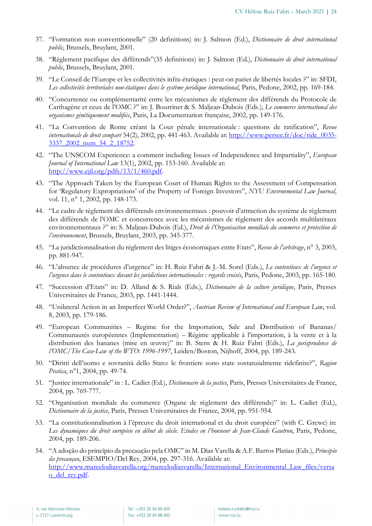- 37. "Formation non conventionnelle" (20 definitions) in: J. Salmon (Ed.), *Dictionnaire de droit international public*, Brussels, Bruylant, 2001.
- 38. "Règlement pacifique des différends"(35 definitions) in: J. Salmon (Ed.), *Dictionnaire de droit international public*, Brussels, Bruylant, 2001.
- 39. "Le Conseil de l'Europe et les collectivités infra-étatiques : peut-on parier de libertés locales ?" in: SFDI, Les collectivités territoriales non-étatiques dans le système juridique international, Paris, Pedone, 2002, pp. 169-184.
- 40. "Concurrence ou complémentarité entre les mécanismes de règlement des différends du Protocole de Carthagène et ceux de l'OMC ?" in: J. Bourrinet & S. Maljean-Dubois (Eds.), *Le commerce international des organismes génétiquement modifiés*, Paris, La Documentation française, 2002, pp. 149-176.
- 41. "La Convention de Rome créant la Cour pénale internationale : questions de ratification", *Revue internationale de droit comparé* 54(2), 2002, pp. 441-463. Available at: http://www.persee.fr/doc/ridc\_0035- 3337\_2002\_num\_54\_2\_18752.
- 42. "The UNSCOM Experience: a comment including Issues of Independence and Impartiality", *European Journal of International Law* 13(1), 2002, pp. 153-160. Available at: http://www.ejil.org/pdfs/13/1/460.pdf.
- 43. "The Approach Taken by the European Court of Human Rights to the Assessment of Compensation for 'Regulatory Expropriations' of the Property of Foreign Investors", *NYU Environmental Law Journal*, vol. 11, n<sup>o</sup> 1, 2002, pp. 148-173.
- 44. "Le cadre de règlement des différends environnementaux : pouvoir d'attraction du système de règlement des différends de l'OMC et concurrence avec les mécanismes de règlement des accords multilatéraux environnementaux ?" in: S. Maljean-Dubois (Ed.), *Droit de l'Organisation mondiale du commerce et protection de l'environnement*, Brussels, Bruylant, 2003, pp. 345-377.
- 45. "La juridictionnalisation du règlement des litiges économiques entre Etats", *Revue de l'arbitrage*, n° 3, 2003, pp. 881-947.
- 46. "L'absence de procédures d'urgence" in: H. Ruiz Fabri & J.-M. Sorel (Eds.), *Le contentieux de l'urgence et l'urgence dans le contentieux devant les juridictions internationales : regards croisés*, Paris, Pedone, 2003, pp. 165-180.
- 47. "Succession d'Etats" in: D. Alland & S. Rials (Eds.), *Dictionnaire de la culture juridique*, Paris, Presses Universitaires de France, 2003, pp. 1441-1444.
- 48. "Unilateral Action in an Imperfect World Order?", *Austrian Review of International and European Law*, vol. 8, 2003, pp. 179-186.
- 49. "European Communities Regime for the Importation, Sale and Distribution of Bananas/ Communautés européennes (Implementation) – Régime applicable à l'importation, à la vente et à la distribution des bananes (mise en œuvre)" in: B. Stern & H. Ruiz Fabri (Eds.), *La jurisprudence de l'OMC/The Case-Law of the WTO*: *1996-1997*, Leiden/Boston, Nijhoff, 2004, pp. 189-243.
- 50. "Diritti dell'uomo e sovranità dello Stato: le frontiere sono state sostanzialmente ridefinite?", *Ragion Pratica*, n°1, 2004, pp. 49-74.
- 51. "Justice internationale" in : L. Cadiet (Ed.), *Dictionnaire de la justice*, Paris, Presses Universitaires de France, 2004, pp. 769-777.
- 52. "Organisation mondiale du commerce (Organe de règlement des différends)" in: L. Cadiet (Ed.), *Dictionnaire de la justice*, Paris, Presses Universitaires de France, 2004, pp. 951-954.
- 53. "La constitutionnalisation à l'épreuve du droit international et du droit européen" (with C. Grewe) in: *Les dynamiques du droit européen en début de siècle. Etudes en l'honneur de Jean-Claude Gautron*, Paris, Pedone, 2004, pp. 189-206.
- 54. "A adoção do princípio da precaução pela OMC" in M. Dias Varella & A.F. Barros Platiau (Eds.), *Principio da precauçao*, ESEMPIO/Del Rey, 2004, pp. 297-316. Available at: http://www.marcelodiasvarella.org/marcelodiasvarella/International\_Environmental\_Law\_files/versa o\_del\_rey.pdf.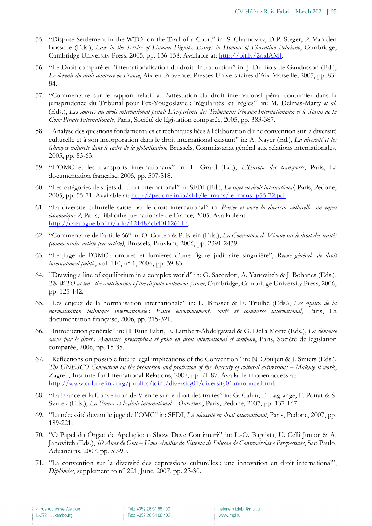- 55. "Dispute Settlement in the WTO: on the Trail of a Court" in: S. Charnovitz, D.P. Steger, P. Van den Bossche (Eds.), *Law in the Service of Human Dignity: Essays in Honour of Florentino Feliciano*, Cambridge, Cambridge University Press, 2005, pp. 136-158. Available at: http://bit.ly/2oxlAMJ.
- 56. "Le Droit comparé et l'internationalisation du droit: Introduction" in: J. Du Bois de Gaudusson (Ed.), *Le devenir du droit comparé en France*, Aix-en-Provence, Presses Universitaires d'Aix-Marseille, 2005, pp. 83- 84.
- 57. "Commentaire sur le rapport relatif à L'attestation du droit international pénal coutumier dans la jurisprudence du Tribunal pour l'ex-Yougoslavie : 'régularités' et 'règles'" in: M. Delmas-Marty *et al.* (Eds.), *Les sources du droit international penal: L'expérience des Tribunaux Pénaux Internationaux et le Statut de la Cour Pénale Internationale*, Paris, Société de législation comparée, 2005, pp. 383-387.
- 58. "Analyse des questions fondamentales et techniques liées à l'élaboration d'une convention sur la diversité culturelle et à son incorporation dans le droit international existant" in: A. Nayer (Ed.), *La diversité et les échanges culturels dans le cadre de la globalisation*, Brussels, Commissariat général aux relations internationales, 2005, pp. 53-63.
- 59. "L'OMC et les transports internationaux" in: L. Grard (Ed.), *L'Europe des transports*, Paris, La documentation française, 2005, pp. 507-518.
- 60. "Les catégories de sujets du droit international" in: SFDI (Ed.), *Le sujet en droit international*, Paris, Pedone, 2005, pp. 55-71. Available at: http://pedone.info/sfdi/le\_mans/le\_mans\_p55-72.pdf.
- 61. "La diversité culturelle saisie par le droit international" in: *Penser et vivre la diversité culturelle, un enjeu économique 2*, Paris, Bibliothèque nationale de France, 2005. Available at: http://catalogue.bnf.fr/ark:/12148/cb40112611n.
- 62. "Commentaire de l'article 66" in: O. Corten & P. Klein (Eds.), *La Convention de Vienne sur le droit des traités (commentaire article par article)*, Brussels, Bruylant, 2006, pp. 2391-2439.
- 63. "Le Juge de l'OMC : ombres et lumières d'une figure judiciaire singulière", *Revue générale de droit international public*, vol. 110, n° 1, 2006, pp. 39-83.
- 64. "Drawing a line of equilibrium in a complex world" in: G. Sacerdoti, A. Yanovitch & J. Bohanes (Eds.), *The WTO at ten : the contribution of the dispute settlement system*, Cambridge, Cambridge University Press, 2006, pp. 125-142.
- 65. "Les enjeux de la normalisation internationale" in: E. Brosset & E. Truilhé (Eds.), *Les enjeux de la normalisation technique internationale* : *Entre environnement, santé et commerce international*, Paris, La documentation française, 2006, pp. 315-321.
- 66. "Introduction générale" in: H. Ruiz Fabri, E. Lambert-Abdelgawad & G. Della Morte (Eds.), *La clémence saisie par le droit : Amnistie, prescription et grâce en droit international et comparé*, Paris, Société de législation comparée, 2006, pp. 15-35.
- 67. "Reflections on possible future legal implications of the Convention" in: N. Obuljen & J. Smiers (Eds.)*, The UNESCO Convention on the promotion and protection of the diversity of cultural expressions – Making it work*, Zagreb, Institute for International Relations, 2007, pp. 71-87. Available in open access at: http://www.culturelink.org/publics/joint/diversity01/diversity01announce.html.
- 68. "La France et la Convention de Vienne sur le droit des traités" in: G. Cahin, E. Lagrange, F. Poirat & S. Szurek (Eds.), *La France et le droit international – Ouverture*, Paris, Pedone, 2007, pp. 137-167.
- 69. "La nécessité devant le juge de l'OMC" in: SFDI, *La nécessité en droit international*, Paris, Pedone, 2007, pp. 189-221.
- 70. "O Papel do Órgão de Apelação: o Show Deve Continuar?" in: L.-O. Baptista, U. Celli Junior & A. Janovitch (Eds.), *10 Anos de Omc – Uma Análise do Sistema de Solução de Controvérsias e Perspectivas*, Sao Paulo, Aduaneiras, 2007, pp. 59-90.
- 71. "La convention sur la diversité des expressions culturelles : une innovation en droit international", *Diplômées*, supplement to n° 221, June, 2007, pp. 23-30.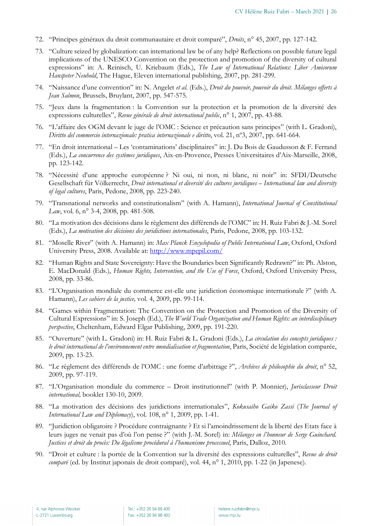- 72. "Principes généraux du droit communautaire et droit comparé", *Droits*, n° 45, 2007, pp. 127-142.
- 73. "Culture seized by globalization: can international law be of any help? Reflections on possible future legal implications of the UNESCO Convention on the protection and promotion of the diversity of cultural expressions" in: A. Reinisch, U. Kriebaum (Eds.), *The Law of International Relations: Liber Amicorum Hanspeter Neuhold*, The Hague, Eleven international publishing, 2007, pp. 281-299.
- 74. "Naissance d'une convention" in: N. Angelet *et al*. (Eds.), *Droit du pouvoir, pouvoir du droit. Mélanges offerts à Jean Salmon*, Brussels, Bruylant, 2007, pp. 547-575.
- 75. "Jeux dans la fragmentation : la Convention sur la protection et la promotion de la diversité des expressions culturelles", *Revue générale de droit international public*, n° 1, 2007, pp. 43-88.
- 76. "L'affaire des OGM devant le juge de l'OMC : Science et précaution sans principes" (with L. Gradoni), *Diritto del commercio internazionale: pratica internazionale e diritto*, vol. 21, nº3, 2007, pp. 641-664.
- 77. "En droit international Les 'contaminations' disciplinaires" in: J. Du Bois de Gaudusson & F. Ferrand (Eds.), *La concurrence des systèmes juridiques*, Aix-en-Provence, Presses Universitaires d'Aix-Marseille, 2008, pp. 123-142.
- 78. "Nécessité d'une approche européenne ? Ni oui, ni non, ni blanc, ni noir" in: SFDI/Deutsche Gesellschaft für Völkerrecht, *Droit international et diversité des cultures juridiques – International law and diversity of legal cultures*, Paris, Pedone, 2008, pp. 223-240.
- 79. "Transnational networks and constitutionalism" (with A. Hamann), *International Journal of Constitutional Law*, vol. 6, n° 3-4, 2008, pp. 481-508.
- 80. "La motivation des décisions dans le règlement des différends de l'OMC" in: H. Ruiz Fabri & J.-M. Sorel (Eds.), *La motivation des décisions des juridictions internationales*, Paris, Pedone, 2008, pp. 103-132.
- 81. "Moselle River" (with A. Hamann) in: *Max Planck Encyclopedia of Public International Law*, Oxford, Oxford University Press, 2008. Available at: http://www.mpepil.com/
- 82. "Human Rights and State Sovereignty: Have the Boundaries been Significantly Redrawn?" in: Ph. Alston, E. MacDonald (Eds.), *Human Rights, Intervention, and the Use of Force*, Oxford, Oxford University Press, 2008, pp. 33-86.
- 83. "L'Organisation mondiale du commerce est-elle une juridiction économique internationale ?" (with A. Hamann), *Les cahiers de la justice,* vol. 4, 2009, pp. 99-114.
- 84. "Games within Fragmentation: The Convention on the Protection and Promotion of the Diversity of Cultural Expressions" in: S. Joseph (Ed.), *The World Trade Organization and Human Rights: an interdisciplinary perspective*, Cheltenham, Edward Elgar Publishing, 2009, pp. 191-220.
- 85. "Ouverture" (with L. Gradoni) in: H. Ruiz Fabri & L. Gradoni (Eds.), *La circulation des concepts juridiques : le droit international de l'environnement entre mondialisation et fragmentation*, Paris, Société de législation comparée, 2009, pp. 13-23.
- 86. "Le règlement des différends de l'OMC : une forme d'arbitrage ?", *Archives de philosophie du droit*, n° 52, 2009, pp. 97-119.
- 87. "L'Organisation mondiale du commerce Droit institutionnel" (with P. Monnier), *Jurisclasseur Droit international,* booklet 130-10, 2009.
- 88. "La motivation des décisions des juridictions internationales", *Kokusaiho Gaiko Zassi* (*The Journal of International Law and Diplomacy*), vol. 108, n° 1, 2009, pp. 1-41.
- 89. "Juridiction obligatoire ? Procédure contraignante ? Et si l'amoindrissement de la liberté des Etats face à leurs juges ne venait pas d'où l'on pense ?" (with J.-M. Sorel) in: *Mélanges en l'honneur de Serge Guinchard. Justices et droit du procès: Du légalisme procédural à l'humanisme processuel*, Paris, Dalloz, 2010.
- 90. "Droit et culture : la portée de la Convention sur la diversité des expressions culturelles", *Revue de droit comparé* (ed. by Institut japonais de droit comparé), vol. 44, n° 1, 2010, pp. 1-22 (in Japenese).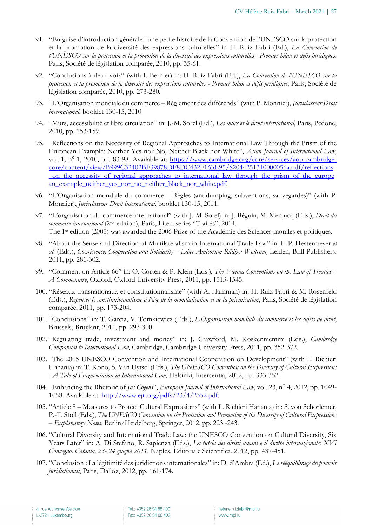- 91. "En guise d'introduction générale : une petite histoire de la Convention de l'UNESCO sur la protection et la promotion de la diversité des expressions culturelles" in H. Ruiz Fabri (Ed.), *La Convention de l'UNESCO sur la protection et la promotion de la diversité des expressions culturelles - Premier bilan et défis juridiques*, Paris, Société de législation comparée, 2010, pp. 35-61.
- 92. "Conclusions à deux voix" (with I. Bernier) in: H. Ruiz Fabri (Ed.), *La Convention de l'UNESCO sur la protection et la promotion de la diversité des expressions culturelles - Premier bilan et défis juridiques*, Paris, Société de législation comparée, 2010, pp. 273-280.
- 93. "L'Organisation mondiale du commerce Règlement des différends" (with P. Monnier), *Jurisclasseur Droit international*, booklet 130-15, 2010.
- 94. "Murs, accessibilité et libre circulation" in: J.-M. Sorel (Ed.), *Les murs et le droit international*, Paris, Pedone, 2010, pp. 153-159.
- 95. "Reflections on the Necessity of Regional Approaches to International Law Through the Prism of the European Example: Neither Yes nor No, Neither Black nor White", *Asian Journal of International Law*, vol. 1, n° 1, 2010, pp. 83-98. Available at: https://www.cambridge.org/core/services/aop-cambridgecore/content/view/B999C32402BF39878DF8DC432F163E95/S2044251310000056a.pdf/reflections \_on\_the\_necessity\_of\_regional\_approaches\_to\_international\_law\_through\_the\_prism\_of\_the\_europe an\_example\_neither\_yes\_nor\_no\_neither\_black\_nor\_white.pdf.
- 96. "L'Organisation mondiale du commerce Règles (antidumping, subventions, sauvegardes)" (with P. Monnier), *Jurisclasseur Droit international*, booklet 130-15, 2011.
- 97. "L'organisation du commerce international" (with J.-M. Sorel) in: J. Béguin, M. Menjucq (Eds.), *Droit du commerce international* (2nd edition), Paris, Litec, series "Traités", 2011. The 1st edition (2005) was awarded the 2006 Prize of the Académie des Sciences morales et politiques.
- 98. "About the Sense and Direction of Multilateralism in International Trade Law" in: H.P. Hestermeyer *et al*. (Eds.), *Coexistence, Cooperation and Solidarity – Liber Amicorum Rüdiger Wolfrum,* Leiden*,* Brill Publishers, 2011, pp. 281-302.
- 99. "Comment on Article 66" in: O. Corten & P. Klein (Eds.), *The Vienna Conventions on the Law of Treaties – A Commentary*, Oxford, Oxford University Press, 2011, pp. 1513-1545.
- 100. "Réseaux transnationaux et constitutionnalisme" (with A. Hamman) in: H. Ruiz Fabri & M. Rosenfeld (Eds.), *Repenser le constitutionnalisme à l'âge de la mondialisation et de la privatisation*, Paris, Société de législation comparée, 2011, pp. 173-204.
- 101. "Conclusions" in: T. Garcia, V. Tomkiewicz (Eds.), *L'Organisation mondiale du commerce et les sujets de droit*, Brussels, Bruylant, 2011, pp. 293-300.
- 102. "Regulating trade, investment and money" in: J. Crawford, M. Koskenniemmi (Eds.), *Cambridge Companion to International Law*, Cambridge, Cambridge University Press, 2011, pp. 352-372.
- 103. "The 2005 UNESCO Convention and International Cooperation on Development" (with L. Richieri Hanania) in: T. Kono, S. Van Uytsel (Eds.), *The UNESCO Convention on the Diversity of Cultural Expressions - A Tale of Fragmentation in International Law*, Helsinki, Intersentia, 2012, pp. 333-352.
- 104. "Enhancing the Rhetoric of *Jus Cogens*", *European Journal of International Law*, vol. 23, n° 4, 2012, pp. 1049- 1058. Available at: http://www.ejil.org/pdfs/23/4/2352.pdf.
- 105. "Article 8 Measures to Protect Cultural Expressions" (with L. Richieri Hanania) in: S. von Schorlemer, P.-T. Stoll (Eds.), *The UNESCO Convention on the Protection and Promotion of the Diversity of Cultural Expressions – Explanatory Notes*, Berlin/Heidelberg, Springer, 2012, pp. 223 -243.
- 106. "Cultural Diversity and International Trade Law: the UNESCO Convention on Cultural Diversity, Six Years Later" in: A. Di Stefano, R. Sapienza (Eds.), *La tutela dei diritti umani e il diritto internazionale: XVI Convegno, Catania, 23- 24 giugno 2011*, Naples, Editoriale Scientifica, 2012, pp. 437-451.
- 107. "Conclusion : La légitimité des juridictions internationales" in: D. d'Ambra (Ed.), *Le rééquilibrage du pouvoir juridictionnel*, Paris, Dalloz, 2012, pp. 161-174.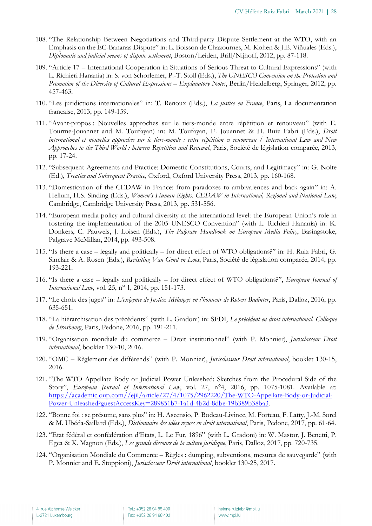- 108. "The Relationship Between Negotiations and Third-party Dispute Settlement at the WTO, with an Emphasis on the EC-Bananas Dispute" in: L. Boisson de Chazournes, M. Kohen & J.E. Viñuales (Eds.), *Diplomatic and judicial means of dispute settlement*, Boston/Leiden, Brill/Nijhoff, 2012, pp. 87-118.
- 109. "Article 17 International Cooperation in Situations of Serious Threat to Cultural Expressions" (with L. Richieri Hanania) in: S. von Schorlemer, P.-T. Stoll (Eds.), *The UNESCO Convention on the Protection and Promotion of the Diversity of Cultural Expressions – Explanatory Notes*, Berlin/Heidelberg, Springer, 2012, pp. 457-463.
- 110. "Les juridictions internationales" in: T. Renoux (Eds.), *La justice en France*, Paris, La documentation française, 2013, pp. 149-159.
- 111. "Avant-propos : Nouvelles approches sur le tiers-monde entre répétition et renouveau" (with E. Tourme-Jouannet and M. Toufayan) in: M. Toufayan, E. Jouannet & H. Ruiz Fabri (Eds.), *Droit international et nouvelles approches sur le tiers-monde : entre répétition et renouveau / International Law and New Approaches to the Third World : between Repetition and Renewal*, Paris, Société de législation comparée, 2013, pp. 17-24.
- 112. "Subsequent Agreements and Practice: Domestic Constitutions, Courts, and Legitimacy" in: G. Nolte (Ed.), *Treaties and Subsequent Practice*, Oxford, Oxford University Press, 2013, pp. 160-168.
- 113. "Domestication of the CEDAW in France: from paradoxes to ambivalences and back again" in: A. Hellum, H.S. Sinding (Eds.), *Women's Human Rights. CEDAW in International, Regional and National Law*, Cambridge, Cambridge University Press, 2013, pp. 531-556.
- 114. "European media policy and cultural diversity at the international level: the European Union's role in fostering the implementation of the 2005 UNESCO Convention" (with L. Richieri Hanania) in: K. Donkers, C. Pauwels, J. Loisen (Eds.), *The Palgrave Handbook on European Media Policy*, Basingstoke, Palgrave McMillan, 2014, pp. 493-508.
- 115. "Is there a case legally and politically for direct effect of WTO obligations?" in: H. Ruiz Fabri, G. Sinclair & A. Rosen (Eds.), *Revisiting Van Gend en Loos*, Paris, Société de législation comparée, 2014, pp. 193-221.
- 116. "Is there a case legally and politically for direct effect of WTO obligations?", *European Journal of International Law*, vol. 25, n° 1, 2014, pp. 151-173.
- 117. "Le choix des juges" in: *L'exigence de Justice. Mélanges en l'honneur de Robert Badinter*, Paris, Dalloz, 2016, pp. 635-651.
- 118. "La hiérarchisation des précédents" (with L. Gradoni) in: SFDI, *Le précédent en droit international. Colloque de Strasbourg*, Paris, Pedone, 2016, pp. 191-211.
- 119. "Organisation mondiale du commerce Droit institutionnel" (with P. Monnier), *Jurisclasseur Droit international*, booklet 130-10, 2016.
- 120. "OMC Règlement des différends" (with P. Monnier), *Jurisclasseur Droit international*, booklet 130-15, 2016.
- 121. "The WTO Appellate Body or Judicial Power Unleashed: Sketches from the Procedural Side of the Story", *European Journal of International Law*, vol. 27, n°4, 2016, pp. 1075-1081. Available at: https://academic.oup.com//ejil/article/27/4/1075/2962220/The-WTO-Appellate-Body-or-Judicial-Power-Unleashed?guestAccessKey=289851b7-1a1d-4b2d-8dbe-19b389b38ba3.
- 122. "Bonne foi : se présume, sans plus" in: H. Ascensio, P. Bodeau-Livinec, M. Forteau, F. Latty, J.-M. Sorel & M. Ubéda-Saillard (Eds.), *Dictionnaire des idées reçues en droit international*, Paris, Pedone, 2017, pp. 61-64.
- 123. "Etat fédéral et confédération d'Etats, L. Le Fur, 1896" (with L. Gradoni) in: W. Mastor, J. Benetti, P. Egea & X. Magnon (Eds.), *Les grands discours de la culture juridique*, Paris, Dalloz, 2017, pp. 720-735.
- 124. "Organisation Mondiale du Commerce Règles : dumping, subventions, mesures de sauvegarde" (with P. Monnier and E. Stoppioni), *Jurisclasseur Droit international*, booklet 130-25, 2017.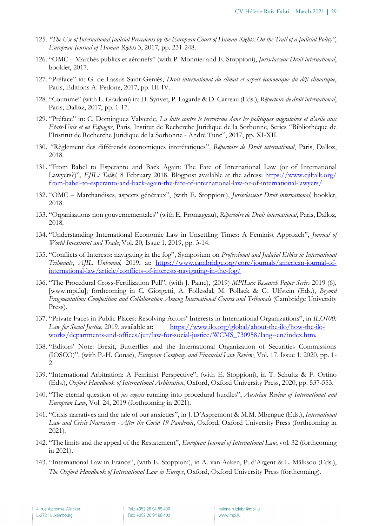- 125. *"The Use of International Judicial Precedents by the European Court of Human Rights: On the Trail of a Judicial Policy"*, *European Journal of Human Rights* 3, 2017, pp. 231-248.
- 126. "OMC Marchés publics et aéronefs" (with P. Monnier and E. Stoppioni), *Jurisclasseur Droit international*, booklet, 2017.
- 127. "Préface" in: G. de Lassus Saint-Geniès, *Droit international du climat et aspect économique du défi climatique*, Paris, Editions A. Pedone, 2017, pp. III-IV.
- 128. "Coutume" (with L. Gradoni) in: H. Synvet, P. Lagarde & D. Carreau (Eds.), *Répertoire de droit international*, Paris, Dalloz, 2017, pp. 1-17.
- 129. "Préface" in: C. Dominguez Valverde, *La lutte contre le terrorisme dans les politiques migratoires et d'asile aux Etats-Unis et en Espagne*, Paris, Institut de Recherche Juridique de la Sorbonne, Series "Bibliothèque de l'Institut de Recherche Juridique de la Sorbonne - André Tunc", 2017, pp. XI-XII.
- 130. "Règlement des différends économiques interétatiques", *Répertoire de Droit international*, Paris, Dalloz, 2018.
- 131. "From Babel to Esperanto and Back Again: The Fate of International Law (or of International Lawyers?)", *EJIL: Talk!*, 8 February 2018. Blogpost available at the adress: https://www.ejiltalk.org/ from-babel-to-esperanto-and-back-again-the-fate-of-international-law-or-of-international-lawyers/
- 132. "OMC Marchandises, aspects généraux", (with E. Stoppioni), *Jurisclasseur Droit international*, booklet, 2018.
- 133. "Organisations non gouvernementales" (with E. Fromageau), *Répertoire de Droit international*, Paris, Dalloz, 2018.
- 134. "Understanding International Economic Law in Unsettling Times: A Feminist Approach", *Journal of World Investment and Trade*, Vol. 20, Issue 1, 2019, pp. 3-14.
- 135. "Conflicts of Interests: navigating in the fog", Symposium on *Professional and Judicial Ethics in International Tribunals*, *AJIL Unbound*, 2019, at: https://www.cambridge.org/core/journals/american-journal-ofinternational-law/article/conflicts-of-interests-navigating-in-the-fog/
- 136. "The Procedural Cross-Fertilization Pull", (with J. Paine), (2019) *MPILux Research Paper Series* 2019 (6), [www.mpi.lu]; forthcoming in C. Giorgetti, A. Follesdal, M. Pollack & G. Ulfstein (Eds.), *Beyond Fragmentation: Competition and Collaboration Among International Courts and Tribunals* (Cambridge University Press).
- 137. "Private Faces in Public Places: Resolving Actors' Interests in International Organizations", in *ILO100: Law for Social Justice*, 2019, available at: https://www.ilo.org/global/about-the-ilo/how-the-iloworks/departments-and-offices/jur/law-for-social-justice/WCMS\_730958/lang--en/index.htm.
- 138. "Editors' Note: Brexit, Butterflies and the International Organization of Securities Commissions (IOSCO)", (with P.-H. Conac), *European Company and Financial Law Review*, Vol. 17, Issue 1, 2020, pp. 1- 2.
- 139. "International Arbitration: A Feminist Perspective", (with E. Stoppioni), in T. Schultz & F. Ortino (Eds.), *Oxford Handbook of International Arbitration*, Oxford, Oxford University Press, 2020, pp. 537-553.
- 140. "The eternal question of *jus cogens* running into procedural hurdles", *Austrian Review of International and European Law*, Vol. 24, 2019 (forthcoming in 2021).
- 141. "Crisis narratives and the tale of our anxieties", in J. D'Aspremont & M.M. Mbengue (Eds.), *International Law and Crisis Narratives - After the Covid 19 Pandemic*, Oxford, Oxford University Press (forthcoming in 2021).
- 142. "The limits and the appeal of the Restatement", *European Journal of International Law*, vol. 32 (forthcoming in 2021).
- 143. "International Law in France", (with E. Stoppioni), in A. van Aaken, P. d'Argent & L. Mälksoo (Eds.), *The Oxford Handbook of International Law in Europe*, Oxford, Oxford University Press (forthcoming).

Tel.: +352 26 94 88 400 Fax: +352 26 94 88 402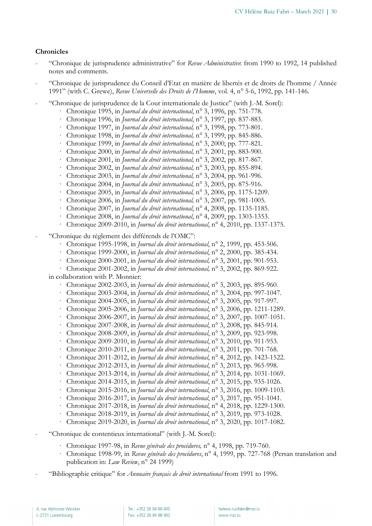#### **Chronicles**

- "Chronique de jurisprudence administrative" for *Revue Administrative*: from 1990 to 1992, 14 published notes and comments.
- "Chronique de jurisprudence du Conseil d'Etat en matière de libertés et de droits de l'homme / Année 1991" (with C. Grewe), *Revue Universelle des Droits de l'Homme*, vol. 4, n° 5-6, 1992, pp. 141-146.
- "Chronique de jurisprudence de la Cour internationale de Justice" (with J.-M. Sorel):
	- · Chronique 1995, in *Journal du droit international*, n° 3, 1996, pp. 751-778.
	- · Chronique 1996, in *Journal du droit international*, n° 3, 1997, pp. 837-883.
	- · Chronique 1997, in *Journal du droit international,* n° 3, 1998, pp. 773-801.
	- · Chronique 1998, in *Journal du droit international,* n° 3, 1999, pp. 845-886.
	- · Chronique 1999, in *Journal du droit international,* n° 3, 2000, pp. 777-821.
	- · Chronique 2000, in *Journal du droit international,* n° 3, 2001, pp. 883-900.
	- · Chronique 2001, in *Journal du droit international,* n° 3, 2002, pp. 817-867.
	- · Chronique 2002, in *Journal du droit international,* n° 3, 2003, pp. 855-894.
	- · Chronique 2003, in *Journal du droit international,* n° 3, 2004, pp. 961-996.
	- · Chronique 2004, in *Journal du droit international,* n° 3, 2005, pp. 875-916.
	- · Chronique 2005, in *Journal du droit international,* n° 3, 2006, pp. 1175-1209.
	- · Chronique 2006, in *Journal du droit international,* n° 3, 2007, pp. 981-1005.
	- · Chronique 2007, in *Journal du droit international*, n° 4, 2008, pp. 1135-1185.
	- · Chronique 2008, in *Journal du droit international*, n° 4, 2009, pp. 1303-1353.
	- · Chronique 2009-2010, in *Journal du droit international*, n° 4, 2010, pp. 1337-1375.
- "Chronique du règlement des différends de l'OMC":
	- · Chronique 1995-1998, in *Journal du droit international*, n° 2, 1999, pp. 453-506.
	- · Chronique 1999-2000, in *Journal du droit international*, n° 2, 2000, pp. 385-434.
	- · Chronique 2000-2001, in *Journal du droit international,* n° 3, 2001, pp. 901-953.
	- · Chronique 2001-2002, in *Journal du droit international,* n° 3, 2002, pp. 869-922.

in collaboration with P. Monnier:

- · Chronique 2002-2003, in *Journal du droit international*, n° 3, 2003, pp. 895-960.
- · Chronique 2003-2004, in *Journal du droit international*, n° 3, 2004, pp. 997-1047.
- · Chronique 2004-2005, in *Journal du droit international*, n° 3, 2005, pp. 917-997.
- · Chronique 2005-2006, in *Journal du droit international*, n° 3, 2006, pp. 1211-1289.
- · Chronique 2006-2007, in *Journal du droit international*, n° 3, 2007, pp. 1007-1051.
- · Chronique 2007-2008, in *Journal du droit international*, n° 3, 2008, pp. 845-914.
- · Chronique 2008-2009, in *Journal du droit international*, n° 3, 2009, pp. 923-998.
- · Chronique 2009-2010, in *Journal du droit international*, n° 3, 2010, pp. 911-953.
- · Chronique 2010-2011, in *Journal du droit international*, n° 3, 2011, pp. 701-768.
- · Chronique 2011-2012, in *Journal du droit international*, n° 4, 2012, pp. 1423-1522.
- · Chronique 2012-2013, in *Journal du droit international*, n° 3, 2013, pp. 965-998.
- · Chronique 2013-2014, in *Journal du droit international*, n° 3, 2014, pp. 1031-1069.
- · Chronique 2014-2015, in *Journal du droit international*, n° 3, 2015, pp. 935-1026.
- · Chronique 2015-2016, in *Journal du droit international*, n° 3, 2016, pp. 1009-1103.
- · Chronique 2016-2017, in *Journal du droit international*, n° 3, 2017, pp. 951-1041.
- · Chronique 2017-2018, in *Journal du droit international*, n° 4, 2018, pp. 1229-1300.
- · Chronique 2018-2019, in *Journal du droit international*, n° 3, 2019, pp. 973-1028.
- · Chronique 2019-2020, in *Journal du droit international*, n° 3, 2020, pp. 1017-1082.
- "Chronique de contentieux international" (with J.-M. Sorel):
	- · Chronique 1997-98, in *Revue générale des procédures,* n° 4, 1998, pp. 719-760.
	- · Chronique 1998-99, in *Revue générale des procédures*, n° 4, 1999, pp. 727-768 (Persan translation and publication in: *Law Review*, n° 24 1999)
- "Bibliographie critique" for *Annuaire français de droit international* from 1991 to 1996.